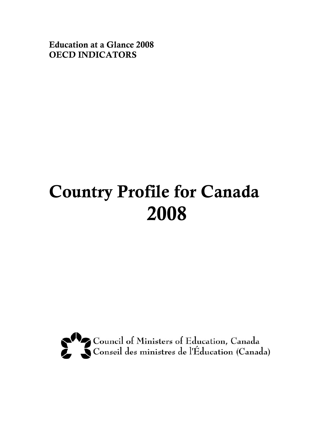Education at a Glance 2008 OECD INDICATORS

# Country Profile for Canada 2008

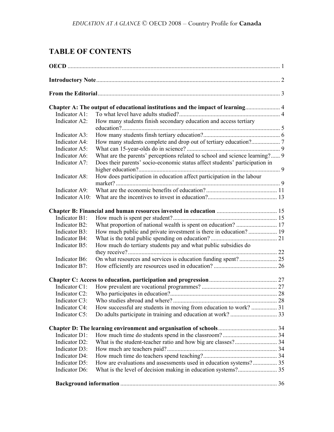# **TABLE OF CONTENTS**

|                | Chapter A: The output of educational institutions and the impact of learning 4 |  |
|----------------|--------------------------------------------------------------------------------|--|
| Indicator A1:  |                                                                                |  |
| Indicator A2:  | How many students finish secondary education and access tertiary               |  |
| Indicator A3:  |                                                                                |  |
| Indicator A4:  |                                                                                |  |
| Indicator A5:  |                                                                                |  |
| Indicator A6:  | What are the parents' perceptions related to school and science learning? 9    |  |
| Indicator A7:  | Does their parents' socio-economic status affect students' participation in    |  |
| Indicator A8:  | How does participation in education affect participation in the labour         |  |
| Indicator A9:  |                                                                                |  |
| Indicator A10: |                                                                                |  |
|                |                                                                                |  |
| Indicator B1:  |                                                                                |  |
| Indicator B2:  | What proportion of national wealth is spent on education?  17                  |  |
| Indicator B3:  |                                                                                |  |
| Indicator B4:  |                                                                                |  |
| Indicator B5:  | How much do tertiary students pay and what public subsidies do                 |  |
|                |                                                                                |  |
| Indicator B6:  |                                                                                |  |
| Indicator B7:  |                                                                                |  |
|                |                                                                                |  |
| Indicator C1:  |                                                                                |  |
| Indicator C2:  |                                                                                |  |
| Indicator C3:  |                                                                                |  |
| Indicator C4:  | How successful are students in moving from education to work?  31              |  |
| Indicator C5:  |                                                                                |  |
|                |                                                                                |  |
| Indicator D1:  |                                                                                |  |
| Indicator D2:  |                                                                                |  |
| Indicator D3:  |                                                                                |  |
| Indicator D4:  |                                                                                |  |
| Indicator D5:  | How are evaluations and assessments used in education systems? 35              |  |
| Indicator D6:  |                                                                                |  |
|                |                                                                                |  |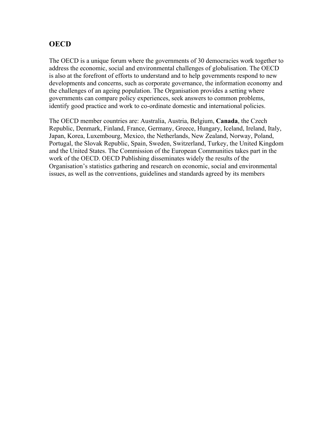# **OECD**

The OECD is a unique forum where the governments of 30 democracies work together to address the economic, social and environmental challenges of globalisation. The OECD is also at the forefront of efforts to understand and to help governments respond to new developments and concerns, such as corporate governance, the information economy and the challenges of an ageing population. The Organisation provides a setting where governments can compare policy experiences, seek answers to common problems, identify good practice and work to co-ordinate domestic and international policies.

The OECD member countries are: Australia, Austria, Belgium, **Canada**, the Czech Republic, Denmark, Finland, France, Germany, Greece, Hungary, Iceland, Ireland, Italy, Japan, Korea, Luxembourg, Mexico, the Netherlands, New Zealand, Norway, Poland, Portugal, the Slovak Republic, Spain, Sweden, Switzerland, Turkey, the United Kingdom and the United States. The Commission of the European Communities takes part in the work of the OECD. OECD Publishing disseminates widely the results of the Organisation's statistics gathering and research on economic, social and environmental issues, as well as the conventions, guidelines and standards agreed by its members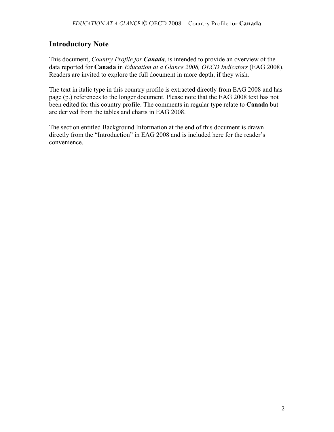# **Introductory Note**

This document, *Country Profile for Canada*, is intended to provide an overview of the data reported for **Canada** in *Education at a Glance 2008, OECD Indicators* (EAG 2008). Readers are invited to explore the full document in more depth, if they wish.

The text in italic type in this country profile is extracted directly from EAG 2008 and has page (p.) references to the longer document. Please note that the EAG 2008 text has not been edited for this country profile. The comments in regular type relate to **Canada** but are derived from the tables and charts in EAG 2008.

The section entitled Background Information at the end of this document is drawn directly from the "Introduction" in EAG 2008 and is included here for the reader's convenience.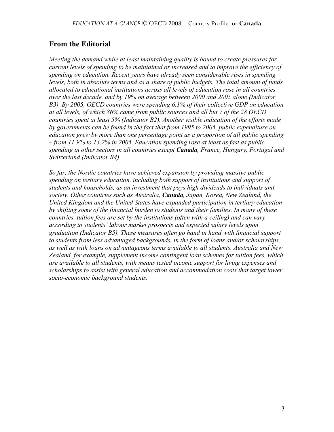# **From the Editorial**

*Meeting the demand while at least maintaining quality is bound to create pressures for current levels of spending to be maintained or increased and to improve the efficiency of spending on education. Recent years have already seen considerable rises in spending levels, both in absolute terms and as a share of public budgets. The total amount of funds allocated to educational institutions across all levels of education rose in all countries over the last decade, and by 19% on average between 2000 and 2005 alone (Indicator B3). By 2005, OECD countries were spending 6.1% of their collective GDP on education at all levels, of which 86% came from public sources and all but 7 of the 28 OECD countries spent at least 5% (Indicator B2). Another visible indication of the efforts made by governments can be found in the fact that from 1995 to 2005, public expenditure on education grew by more than one percentage point as a proportion of all public spending – from 11.9% to 13.2% in 2005. Education spending rose at least as fast as public spending in other sectors in all countries except Canada, France, Hungary, Portugal and Switzerland (Indicator B4).* 

*So far, the Nordic countries have achieved expansion by providing massive public spending on tertiary education, including both support of institutions and support of students and households, as an investment that pays high dividends to individuals and society. Other countries such as Australia, Canada, Japan, Korea, New Zealand, the United Kingdom and the United States have expanded participation in tertiary education by shifting some of the financial burden to students and their families. In many of these countries, tuition fees are set by the institutions (often with a ceiling) and can vary according to students' labour market prospects and expected salary levels upon graduation (Indicator B5). These measures often go hand in hand with financial support to students from less advantaged backgrounds, in the form of loans and/or scholarships, as well as with loans on advantageous terms available to all students. Australia and New Zealand, for example, supplement income contingent loan schemes for tuition fees, which are available to all students, with means tested income support for living expenses and scholarships to assist with general education and accommodation costs that target lower socio-economic background students.*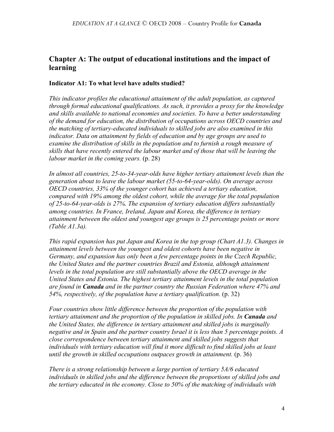# **Chapter A: The output of educational institutions and the impact of learning**

# **Indicator A1: To what level have adults studied?**

*This indicator profiles the educational attainment of the adult population, as captured through formal educational qualifications. As such, it provides a proxy for the knowledge and skills available to national economies and societies. To have a better understanding of the demand for education, the distribution of occupations across OECD countries and the matching of tertiary-educated individuals to skilled jobs are also examined in this indicator. Data on attainment by fields of education and by age groups are used to examine the distribution of skills in the population and to furnish a rough measure of skills that have recently entered the labour market and of those that will be leaving the labour market in the coming years.* (p. 28)

*In almost all countries, 25-to-34-year-olds have higher tertiary attainment levels than the generation about to leave the labour market (55-to-64-year-olds). On average across OECD countries, 33% of the younger cohort has achieved a tertiary education, compared with 19% among the oldest cohort, while the average for the total population of 25-to-64-year-olds is 27%. The expansion of tertiary education differs substantially among countries. In France, Ireland, Japan and Korea, the difference in tertiary attainment between the oldest and youngest age groups is 25 percentage points or more (Table A1.3a).*

*This rapid expansion has put Japan and Korea in the top group (Chart A1.3). Changes in attainment levels between the youngest and oldest cohorts have been negative in Germany, and expansion has only been a few percentage points in the Czech Republic, the United States and the partner countries Brazil and Estonia, although attainment levels in the total population are still substantially above the OECD average in the United States and Estonia. The highest tertiary attainment levels in the total population are found in Canada and in the partner country the Russian Federation where 47% and 54%, respectively, of the population have a tertiary qualification.* (p. 32)

*Four countries show little difference between the proportion of the population with tertiary attainment and the proportion of the population in skilled jobs. In Canada and the United States, the difference in tertiary attainment and skilled jobs is marginally negative and in Spain and the partner country Israel it is less than 5 percentage points. A close correspondence between tertiary attainment and skilled jobs suggests that individuals with tertiary education will find it more difficult to find skilled jobs at least until the growth in skilled occupations outpaces growth in attainment.* (p. 36)

*There is a strong relationship between a large portion of tertiary 5A/6 educated individuals in skilled jobs and the difference between the proportions of skilled jobs and the tertiary educated in the economy. Close to 50% of the matching of individuals with*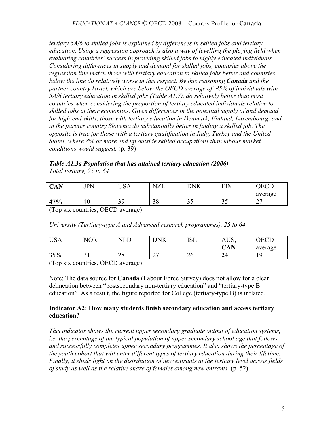*tertiary 5A/6 to skilled jobs is explained by differences in skilled jobs and tertiary education. Using a regression approach is also a way of levelling the playing field when evaluating countries' success in providing skilled jobs to highly educated individuals. Considering differences in supply and demand for skilled jobs, countries above the regression line match those with tertiary education to skilled jobs better and countries below the line do relatively worse in this respect. By this reasoning Canada and the partner country Israel, which are below the OECD average of 85% of individuals with 5A/6 tertiary education in skilled jobs (Table A1.7), do relatively better than most countries when considering the proportion of tertiary educated individuals relative to skilled jobs in their economies. Given differences in the potential supply of and demand for high-end skills, those with tertiary education in Denmark, Finland, Luxembourg, and in the partner country Slovenia do substantially better in finding a skilled job. The opposite is true for those with a tertiary qualification in Italy, Turkey and the United States, where 8% or more end up outside skilled occupations than labour market conditions would suggest.* (p. 39)

| Table A1.3a Population that has attained tertiary education (2006) |  |
|--------------------------------------------------------------------|--|
| Total tertiary, 25 to 64                                           |  |

| AN.<br>CAN | <b>IDN</b><br>JI LA | $T\cap$<br>JSA.<br>ັ | TT<br>N<br>14 L | <b>DNK</b> | $\blacksquare$<br>'N<br>н<br>$\mathbf{H}$ | $\sum_{i=1}^{n}$<br>-⊢ ∺<br>しレンレ |
|------------|---------------------|----------------------|-----------------|------------|-------------------------------------------|----------------------------------|
|            |                     |                      |                 |            |                                           | average                          |
| A70/<br>70 | 40                  | 30<br>ر ر            | າ ດ<br>20       | <u>-</u>   | ر ر                                       | $\sim$<br>∼                      |

(Top six countries, OECD average)

*University (Tertiary-type A and Advanced research programmes), 25 to 64* 

| T T T<br>DA. | <b>NOR</b><br>NI | $\mathbf{v}$<br>N<br>, , , , , | <b>DNK</b>  | <b>ISL</b>   | TTO<br>110U             | $\Gamma$<br>◡◡◡ |
|--------------|------------------|--------------------------------|-------------|--------------|-------------------------|-----------------|
|              |                  |                                |             |              | $\Lambda N$<br>n<br>◡▴◣ | average         |
| 35%          | ◡                | ററ<br>∠∪                       | $\sim$<br>∽ | $\sim$<br>∠∪ | $\bullet$<br>47         | 1 O             |

(Top six countries, OECD average)

Note: The data source for **Canada** (Labour Force Survey) does not allow for a clear delineation between "postsecondary non-tertiary education" and "tertiary-type B education". As a result, the figure reported for College (tertiary-type B) is inflated.

# **Indicator A2: How many students finish secondary education and access tertiary education?**

*This indicator shows the current upper secondary graduate output of education systems, i.e. the percentage of the typical population of upper secondary school age that follows and successfully completes upper secondary programmes. It also shows the percentage of the youth cohort that will enter different types of tertiary education during their lifetime. Finally, it sheds light on the distribution of new entrants at the tertiary level across fields of study as well as the relative share of females among new entrants.* (p. 52)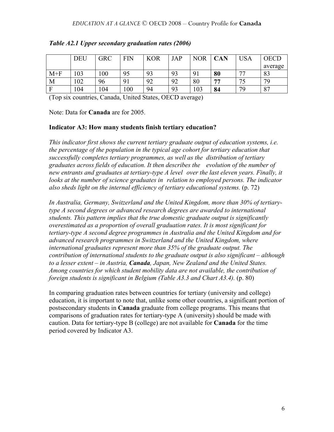|              | deu | GRC | <b>FIN</b> | <b>KOR</b> | JAP | <b>NOR</b> | CAN | <b>JSA</b> | OECD    |
|--------------|-----|-----|------------|------------|-----|------------|-----|------------|---------|
|              |     |     |            |            |     |            |     |            | average |
| $M+F$        | 03  | 100 | 95         | 93         | 93  | 91         | 80  | <i>—</i>   | 83      |
| M            | 102 | 96  | 91         | 92         | 92  | 80         | 77  | 71<br>ັ    | 70      |
| $\mathbf{r}$ | 104 | 104 | 100        | 94         | 93  | 103        | 84  | 70         | 87      |

# *Table A2.1 Upper secondary graduation rates (2006)*

(Top six countries, Canada, United States, OECD average)

Note: Data for **Canada** are for 2005.

#### **Indicator A3: How many students finish tertiary education?**

*This indicator first shows the current tertiary graduate output of education systems, i.e. the percentage of the population in the typical age cohort for tertiary education that successfully completes tertiary programmes, as well as the distribution of tertiary graduates across fields of education. It then describes the evolution of the number of new entrants and graduates at tertiary-type A level over the last eleven years. Finally, it*  looks at the number of science graduates in relation to employed persons. The indicator *also sheds light on the internal efficiency of tertiary educational systems.* (p. 72)

*In Australia, Germany, Switzerland and the United Kingdom, more than 30% of tertiarytype A second degrees or advanced research degrees are awarded to international students. This pattern implies that the true domestic graduate output is significantly overestimated as a proportion of overall graduation rates. It is most significant for tertiary-type A second degree programmes in Australia and the United Kingdom and for advanced research programmes in Switzerland and the United Kingdom, where international graduates represent more than 35% of the graduate output. The contribution of international students to the graduate output is also significant – although to a lesser extent – in Austria, Canada, Japan, New Zealand and the United States. Among countries for which student mobility data are not available, the contribution of foreign students is significant in Belgium (Table A3.3 and Chart A3.4).* (p. 80)

In comparing graduation rates between countries for tertiary (university and college) education, it is important to note that, unlike some other countries, a significant portion of postsecondary students in **Canada** graduate from college programs. This means that comparisons of graduation rates for tertiary-type A (university) should be made with caution. Data for tertiary-type B (college) are not available for **Canada** for the time period covered by Indicator A3.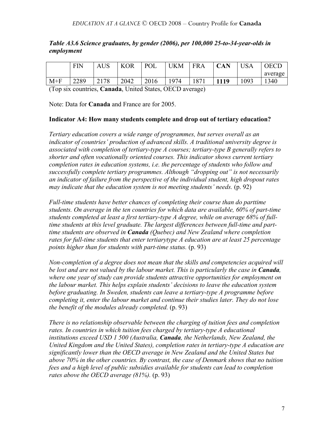# *Table A3.6 Science graduates, by gender (2006), per 100,000 25-to-34-year-olds in employment*

|       | <b>FIN</b> | <b>AUS</b> | <b>KOR</b> | POL  | JKM  | <b>FRA</b> | <b>CAN</b> | <b>USA</b> | OECD    |
|-------|------------|------------|------------|------|------|------------|------------|------------|---------|
|       |            |            |            |      |      |            |            |            | average |
| $M+F$ | 2289       | 2178       | 2042       | 2016 | 1974 | 1871       | 1119       | 1093       | 1340    |

(Top six countries, **Canada**, United States, OECD average)

Note: Data for **Canada** and France are for 2005.

#### **Indicator A4: How many students complete and drop out of tertiary education?**

*Tertiary education covers a wide range of programmes, but serves overall as an indicator of countries' production of advanced skills. A traditional university degree is associated with completion of tertiary-type A courses; tertiary-type B generally refers to shorter and often vocationally oriented courses. This indicator shows current tertiary completion rates in education systems, i.e. the percentage of students who follow and successfully complete tertiary programmes. Although "dropping out" is not necessarily an indicator of failure from the perspective of the individual student, high dropout rates may indicate that the education system is not meeting students' needs.* (p. 92)

*Full-time students have better chances of completing their course than do parttime students. On average in the ten countries for which data are available, 60% of part-time students completed at least a first tertiary-type A degree, while on average 68% of fulltime students at this level graduate. The largest differences between full-time and parttime students are observed in Canada (Quebec) and New Zealand where completion rates for full-time students that enter tertiarytype A education are at least 25 percentage points higher than for students with part-time status.* (p. 93)

*Non-completion of a degree does not mean that the skills and competencies acquired will*  be lost and are not valued by the labour market. This is particularly the case in **Canada**, *where one year of study can provide students attractive opportunities for employment on the labour market. This helps explain students' decisions to leave the education system before graduating. In Sweden, students can leave a tertiary-type A programme before completing it, enter the labour market and continue their studies later. They do not lose the benefit of the modules already completed.* (p. 93)

*There is no relationship observable between the charging of tuition fees and completion rates. In countries in which tuition fees charged by tertiary-type A educational institutions exceed USD 1 500 (Australia, Canada, the Netherlands, New Zealand, the United Kingdom and the United States), completion rates in tertiary-type A education are significantly lower than the OECD average in New Zealand and the United States but above 70% in the other countries. By contrast, the case of Denmark shows that no tuition fees and a high level of public subsidies available for students can lead to completion rates above the OECD average (81%).* (p. 93)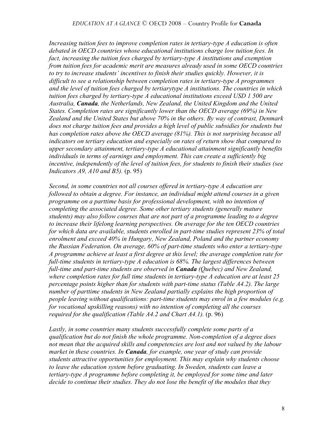*Increasing tuition fees to improve completion rates in tertiary-type A education is often debated in OECD countries whose educational institutions charge low tuition fees. In fact, increasing the tuition fees charged by tertiary-type A institutions and exemption from tuition fees for academic merit are measures already used in some OECD countries to try to increase students' incentives to finish their studies quickly. However, it is difficult to see a relationship between completion rates in tertiary-type A programmes and the level of tuition fees charged by tertiarytype A institutions. The countries in which tuition fees charged by tertiary-type A educational institutions exceed USD 1 500 are Australia, Canada, the Netherlands, New Zealand, the United Kingdom and the United States. Completion rates are significantly lower than the OECD average (69%) in New Zealand and the United States but above 70% in the others. By way of contrast, Denmark*  does not charge tuition fees and provides a high level of public subsidies for students but *has completion rates above the OECD average (81%). This is not surprising because all indicators on tertiary education and especially on rates of return show that compared to upper secondary attainment, tertiary-type A educational attainment significantly benefits individuals in terms of earnings and employment. This can create a sufficiently big incentive, independently of the level of tuition fees, for students to finish their studies (see Indicators A9, A10 and B5).* (p. 95)

*Second, in some countries not all courses offered in tertiary-type A education are followed to obtain a degree. For instance, an individual might attend courses in a given programme on a parttime basis for professional development, with no intention of completing the associated degree. Some other tertiary students (generally mature students) may also follow courses that are not part of a programme leading to a degree to increase their lifelong learning perspectives. On average for the ten OECD countries for which data are available, students enrolled in part-time studies represent 23% of total enrolment and exceed 40% in Hungary, New Zealand, Poland and the partner economy the Russian Federation. On average, 60% of part-time students who enter a tertiary-type A programme achieve at least a first degree at this level; the average completion rate for full-time students in tertiary-type A education is 68%. The largest differences between full-time and part-time students are observed in Canada (Quebec) and New Zealand, where completion rates for full time students in tertiary-type A education are at least 25 percentage points higher than for students with part-time status (Table A4.2). The large number of parttime students in New Zealand partially explains the high proportion of people leaving without qualifications: part-time students may enrol in a few modules (e.g. for vocational upskilling reasons) with no intention of completing all the courses required for the qualification (Table A4.2 and Chart A4.1).* (p. 96)

*Lastly, in some countries many students successfully complete some parts of a qualification but do not finish the whole programme. Non-completion of a degree does not mean that the acquired skills and competencies are lost and not valued by the labour market in these countries. In Canada, for example, one year of study can provide students attractive opportunities for employment. This may explain why students choose to leave the education system before graduating. In Sweden, students can leave a tertiary-type A programme before completing it, be employed for some time and later decide to continue their studies. They do not lose the benefit of the modules that they*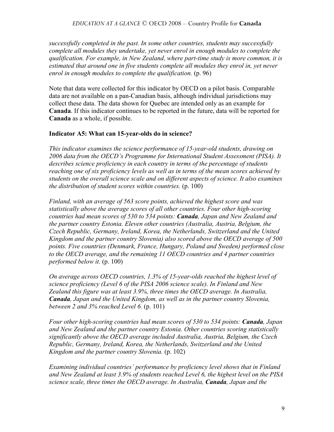#### *EDUCATION AT A GLANCE* © OECD 2008 – Country Profile for **Canada**

*successfully completed in the past. In some other countries, students may successfully complete all modules they undertake, yet never enrol in enough modules to complete the qualification. For example, in New Zealand, where part-time study is more common, it is estimated that around one in five students complete all modules they enrol in, yet never enrol in enough modules to complete the qualification.* (p. 96)

Note that data were collected for this indicator by OECD on a pilot basis. Comparable data are not available on a pan-Canadian basis, although individual jurisdictions may collect these data. The data shown for Quebec are intended only as an example for **Canada**. If this indicator continues to be reported in the future, data will be reported for **Canada** as a whole, if possible.

#### **Indicator A5: What can 15-year-olds do in science?**

*This indicator examines the science performance of 15-year-old students, drawing on 2006 data from the OECD's Programme for International Student Assessment (PISA). It describes science proficiency in each country in terms of the percentage of students reaching one of six proficiency levels as well as in terms of the mean scores achieved by students on the overall science scale and on different aspects of science. It also examines the distribution of student scores within countries.* (p. 100)

*Finland, with an average of 563 score points, achieved the highest score and was statistically above the average scores of all other countries. Four other high-scoring countries had mean scores of 530 to 534 points: Canada, Japan and New Zealand and the partner country Estonia. Eleven other countries (Australia, Austria, Belgium, the Czech Republic, Germany, Ireland, Korea, the Netherlands, Switzerland and the United Kingdom and the partner country Slovenia) also scored above the OECD average of 500 points. Five countries (Denmark, France, Hungary, Poland and Sweden) performed close to the OECD average, and the remaining 11 OECD countries and 4 partner countries performed below it.* (p. 100)

*On average across OECD countries, 1.3% of 15-year-olds reached the highest level of science proficiency (Level 6 of the PISA 2006 science scale). In Finland and New Zealand this figure was at least 3.9%, three times the OECD average. In Australia, Canada, Japan and the United Kingdom, as well as in the partner country Slovenia, between 2 and 3% reached Level 6.* (p. 101)

*Four other high-scoring countries had mean scores of 530 to 534 points: Canada, Japan and New Zealand and the partner country Estonia. Other countries scoring statistically significantly above the OECD average included Australia, Austria, Belgium, the Czech Republic, Germany, Ireland, Korea, the Netherlands, Switzerland and the United Kingdom and the partner country Slovenia.* (p. 102)

*Examining individual countries' performance by proficiency level shows that in Finland and New Zealand at least 3.9% of students reached Level 6, the highest level on the PISA science scale, three times the OECD average. In Australia, Canada, Japan and the*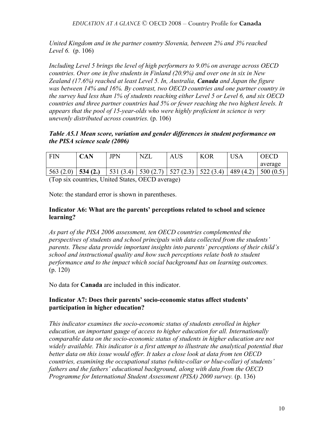*United Kingdom and in the partner country Slovenia, between 2% and 3% reached Level 6.* (p. 106)

*Including Level 5 brings the level of high performers to 9.0% on average across OECD countries. Over one in five students in Finland (20.9%) and over one in six in New Zealand (17.6%) reached at least Level 5. In, Australia, Canada and Japan the figure was between 14% and 16%. By contrast, two OECD countries and one partner country in the survey had less than 1% of students reaching either Level 5 or Level 6, and six OECD countries and three partner countries had 5% or fewer reaching the two highest levels. It appears that the pool of 15-year-olds who were highly proficient in science is very unevenly distributed across countries.* (p. 106)

# *Table A5.1 Mean score, variation and gender differences in student performance on the PISA science scale (2006)*

| <b>FIN</b>  | CAN     | <b>JPN</b>      | NZ1         | <b>AUS</b> | <b>KOR</b> | <b>ISA</b> | <b>DECL</b> |
|-------------|---------|-----------------|-------------|------------|------------|------------|-------------|
|             |         |                 |             |            |            |            | average     |
| 563 $(2.0)$ | 534(2.) | (0.4)<br>531(3) | 530 $(2.7)$ | 527(2.3)   | 522(3.4)   | 489(4.2)   | 500 $(0.5)$ |

(Top six countries, United States, OECD average)

Note: the standard error is shown in parentheses.

# **Indicator A6: What are the parents' perceptions related to school and science learning?**

*As part of the PISA 2006 assessment, ten OECD countries complemented the perspectives of students and school principals with data collected from the students' parents. These data provide important insights into parents' perceptions of their child's school and instructional quality and how such perceptions relate both to student performance and to the impact which social background has on learning outcomes.*  (p. 120)

No data for **Canada** are included in this indicator.

# **Indicator A7: Does their parents' socio-economic status affect students' participation in higher education?**

*This indicator examines the socio-economic status of students enrolled in higher education, an important gauge of access to higher education for all. Internationally comparable data on the socio-economic status of students in higher education are not widely available. This indicator is a first attempt to illustrate the analytical potential that better data on this issue would offer. It takes a close look at data from ten OECD countries, examining the occupational status (white-collar or blue-collar) of students' fathers and the fathers' educational background, along with data from the OECD Programme for International Student Assessment (PISA) 2000 survey.* (p. 136)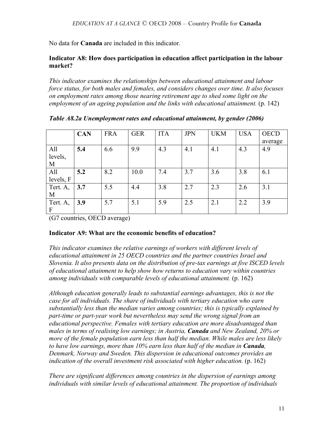No data for **Canada** are included in this indicator.

# **Indicator A8: How does participation in education affect participation in the labour market?**

*This indicator examines the relationships between educational attainment and labour force status, for both males and females, and considers changes over time. It also focuses on employment rates among those nearing retirement age to shed some light on the employment of an ageing population and the links with educational attainment.* (p. 142)

|           | <b>CAN</b> | <b>FRA</b> | <b>GER</b> | <b>ITA</b> | <b>JPN</b> | <b>UKM</b> | <b>USA</b> | <b>OECD</b> |
|-----------|------------|------------|------------|------------|------------|------------|------------|-------------|
|           |            |            |            |            |            |            |            | average     |
| All       | 5.4        | 6.6        | 9.9        | 4.3        | 4.1        | 4.1        | 4.3        | 4.9         |
| levels,   |            |            |            |            |            |            |            |             |
| M         |            |            |            |            |            |            |            |             |
| All       | 5.2        | 8.2        | 10.0       | 7.4        | 3.7        | 3.6        | 3.8        | 6.1         |
| levels, F |            |            |            |            |            |            |            |             |
| Tert. A,  | 3.7        | 5.5        | 4.4        | 3.8        | 2.7        | 2.3        | 2.6        | 3.1         |
| M         |            |            |            |            |            |            |            |             |
| Tert. A,  | 3.9        | 5.7        | 5.1        | 5.9        | 2.5        | 2.1        | 2.2        | 3.9         |
| F         |            |            |            |            |            |            |            |             |

*Table A8.2a Unemployment rates and educational attainment, by gender (2006)* 

(G7 countries, OECD average)

# **Indicator A9: What are the economic benefits of education?**

*This indicator examines the relative earnings of workers with different levels of educational attainment in 25 OECD countries and the partner countries Israel and Slovenia. It also presents data on the distribution of pre-tax earnings at five ISCED levels of educational attainment to help show how returns to education vary within countries among individuals with comparable levels of educational attainment.* (p. 162)

*Although education generally leads to substantial earnings advantages, this is not the case for all individuals. The share of individuals with tertiary education who earn substantially less than the median varies among countries; this is typically explained by part-time or part-year work but nevertheless may send the wrong signal from an educational perspective. Females with tertiary education are more disadvantaged than males in terms of realising low earnings; in Austria, Canada and New Zealand, 20% or more of the female population earn less than half the median. While males are less likely to have low earnings, more than 10% earn less than half of the median in Canada, Denmark, Norway and Sweden. This dispersion in educational outcomes provides an indication of the overall investment risk associated with higher education.* (p. 162)

*There are significant differences among countries in the dispersion of earnings among individuals with similar levels of educational attainment. The proportion of individuals*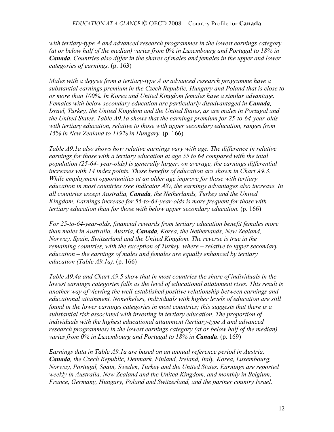*with tertiary-type A and advanced research programmes in the lowest earnings category (at or below half of the median) varies from 0% in Luxembourg and Portugal to 18% in Canada. Countries also differ in the shares of males and females in the upper and lower categories of earnings.* (p. 163)

*Males with a degree from a tertiary-type A or advanced research programme have a substantial earnings premium in the Czech Republic, Hungary and Poland that is close to or more than 100%. In Korea and United Kingdom females have a similar advantage. Females with below secondary education are particularly disadvantaged in Canada, Israel, Turkey, the United Kingdom and the United States, as are males in Portugal and the United States. Table A9.1a shows that the earnings premium for 25-to-64-year-olds with tertiary education, relative to those with upper secondary education, ranges from 15% in New Zealand to 119% in Hungary.* (p. 166)

*Table A9.1a also shows how relative earnings vary with age. The difference in relative earnings for those with a tertiary education at age 55 to 64 compared with the total population (25-64- year-olds) is generally larger; on average, the earnings differential increases with 14 index points. These benefits of education are shown in Chart A9.3. While employment opportunities at an older age improve for those with tertiary education in most countries (see Indicator A8), the earnings advantages also increase. In all countries except Australia, Canada, the Netherlands, Turkey and the United Kingdom. Earnings increase for 55-to-64-year-olds is more frequent for those with tertiary education than for those with below upper secondary education.* (p. 166)

*For 25-to-64-year-olds, financial rewards from tertiary education benefit females more than males in Australia, Austria, Canada, Korea, the Netherlands, New Zealand, Norway, Spain, Switzerland and the United Kingdom. The reverse is true in the remaining countries, with the exception of Turkey, where – relative to upper secondary education – the earnings of males and females are equally enhanced by tertiary education (Table A9.1a).* (p. 166)

*Table A9.4a and Chart A9.5 show that in most countries the share of individuals in the lowest earnings categories falls as the level of educational attainment rises. This result is another way of viewing the well-established positive relationship between earnings and educational attainment. Nonetheless, individuals with higher levels of education are still found in the lower earnings categories in most countries; this suggests that there is a substantial risk associated with investing in tertiary education. The proportion of individuals with the highest educational attainment (tertiary-type A and advanced research programmes) in the lowest earnings category (at or below half of the median) varies from 0% in Luxembourg and Portugal to 18% in Canada*. (p. 169)

*Earnings data in Table A9.1a are based on an annual reference period in Austria, Canada, the Czech Republic, Denmark, Finland, Ireland, Italy, Korea, Luxembourg, Norway, Portugal, Spain, Sweden, Turkey and the United States. Earnings are reported weekly in Australia, New Zealand and the United Kingdom, and monthly in Belgium, France, Germany, Hungary, Poland and Switzerland, and the partner country Israel.*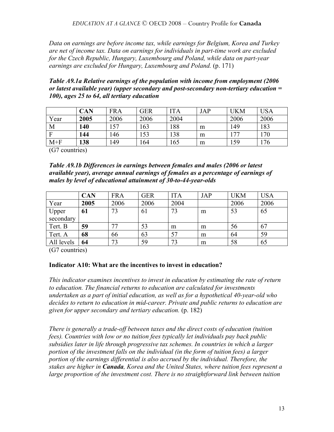*Data on earnings are before income tax, while earnings for Belgium, Korea and Turkey are net of income tax. Data on earnings for individuals in part-time work are excluded for the Czech Republic, Hungary, Luxembourg and Poland, while data on part-year earnings are excluded for Hungary, Luxembourg and Poland.* (p. 171)

*Table A9.1a Relative earnings of the population with income from employment (2006 or latest available year) (upper secondary and post-secondary non-tertiary education = 100), ages 25 to 64, all tertiary education* 

|              | <b>CAN</b> | <b>FRA</b> | GER  | <b>TA</b> | JAP | <b>UKM</b> | <b>USA</b> |
|--------------|------------|------------|------|-----------|-----|------------|------------|
| Year         | 2005       | 2006       | 2006 | 2004      |     | 2006       | 2006       |
| M            | 140        | 157        | 163  | 188       | m   | 149        | 183        |
| $\mathbf{F}$ | 144        | .46        | 153  | 138       | m   | 177        | 170        |
| $M+F$        | 138        | 49         | 164  | 165       | m   | 159        | 176        |

(G7 countries)

*Table A9.1b Differences in earnings between females and males (2006 or latest available year), average annual earnings of females as a percentage of earnings of males by level of educational attainment of 30-to-44-year-olds* 

|            | <b>CAN</b> | <b>FRA</b> | <b>GER</b> | <b>ITA</b> | <b>JAP</b> | <b>UKM</b> | <b>USA</b> |
|------------|------------|------------|------------|------------|------------|------------|------------|
| Year       | 2005       | 2006       | 2006       | 2004       |            | 2006       | 2006       |
| Upper      | 61         | 73         | 61         | 73         | m          | 53         | 65         |
| secondary  |            |            |            |            |            |            |            |
| Tert. B    | 59         |            | 53         | m          | m          | 56         | 67         |
| Tert. A    | 68         | 66         | 63         | 57         | m          | 64         | 59         |
| All levels | 64         | 73         | 59         | 73         | m          | 58         | 65         |

(G7 countries)

# **Indicator A10: What are the incentives to invest in education?**

*This indicator examines incentives to invest in education by estimating the rate of return to education. The financial returns to education are calculated for investments undertaken as a part of initial education, as well as for a hypothetical 40-year-old who decides to return to education in mid-career. Private and public returns to education are given for upper secondary and tertiary education.* (p. 182)

*There is generally a trade-off between taxes and the direct costs of education (tuition fees). Countries with low or no tuition fees typically let individuals pay back public subsidies later in life through progressive tax schemes. In countries in which a larger portion of the investment falls on the individual (in the form of tuition fees) a larger portion of the earnings differential is also accrued by the individual. Therefore, the stakes are higher in Canada, Korea and the United States, where tuition fees represent a*  large proportion of the investment cost. There is no straightforward link between tuition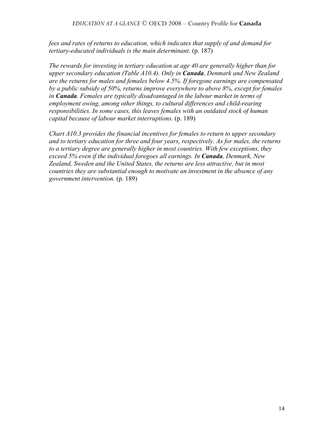*fees and rates of returns to education, which indicates that supply of and demand for tertiary-educated individuals is the main determinant.* (p. 187)

*The rewards for investing in tertiary education at age 40 are generally higher than for upper secondary education (Table A10.4). Only in Canada, Denmark and New Zealand are the returns for males and females below 4.5%. If foregone earnings are compensated by a public subsidy of 50%, returns improve everywhere to above 8%, except for females in Canada. Females are typically disadvantaged in the labour market in terms of employment owing, among other things, to cultural differences and child-rearing responsibilities. In some cases, this leaves females with an outdated stock of human capital because of labour market interruptions.* (p. 189)

*Chart A10.3 provides the financial incentives for females to return to upper secondary and to tertiary education for three and four years, respectively. As for males, the returns to a tertiary degree are generally higher in most countries. With few exceptions, they exceed 5% even if the individual foregoes all earnings. In Canada, Denmark, New Zealand, Sweden and the United States, the returns are less attractive, but in most countries they are substantial enough to motivate an investment in the absence of any government intervention.* (p. 189)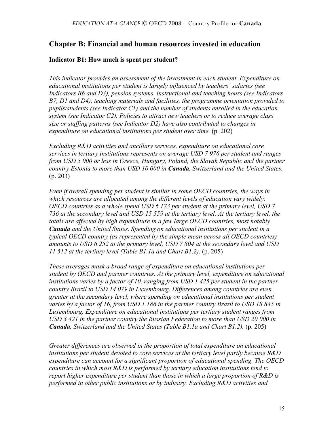# **Chapter B: Financial and human resources invested in education**

# **Indicator B1: How much is spent per student?**

*This indicator provides an assessment of the investment in each student. Expenditure on educational institutions per student is largely influenced by teachers' salaries (see Indicators B6 and D3), pension systems, instructional and teaching hours (see Indicators B7, D1 and D4), teaching materials and facilities, the programme orientation provided to pupils/students (see Indicator C1) and the number of students enrolled in the education system (see Indicator C2). Policies to attract new teachers or to reduce average class size or staffing patterns (see Indicator D2) have also contributed to changes in expenditure on educational institutions per student over time.* (p. 202)

*Excluding R&D activities and ancillary services, expenditure on educational core services in tertiary institutions represents on average USD 7 976 per student and ranges from USD 5 000 or less in Greece, Hungary, Poland, the Slovak Republic and the partner country Estonia to more than USD 10 000 in Canada, Switzerland and the United States.* (p. 203)

*Even if overall spending per student is similar in some OECD countries, the ways in which resources are allocated among the different levels of education vary widely. OECD countries as a whole spend USD 6 173 per student at the primary level, USD 7 736 at the secondary level and USD 15 559 at the tertiary level. At the tertiary level, the totals are affected by high expenditure in a few large OECD countries, most notably Canada and the United States. Spending on educational institutions per student in a typical OECD country (as represented by the simple mean across all OECD countries) amounts to USD 6 252 at the primary level, USD 7 804 at the secondary level and USD 11 512 at the tertiary level (Table B1.1a and Chart B1.2).* (p. 205)

*These averages mask a broad range of expenditure on educational institutions per student by OECD and partner countries. At the primary level, expenditure on educational*  institutions varies by a factor of 10, ranging from USD 1 425 per student in the partner *country Brazil to USD 14 079 in Luxembourg. Differences among countries are even greater at the secondary level, where spending on educational institutions per student varies by a factor of 16, from USD 1 186 in the partner country Brazil to USD 18 845 in Luxembourg. Expenditure on educational institutions per tertiary student ranges from USD 3 421 in the partner country the Russian Federation to more than USD 20 000 in Canada, Switzerland and the United States (Table B1.1a and Chart B1.2).* (p. 205)

*Greater differences are observed in the proportion of total expenditure on educational institutions per student devoted to core services at the tertiary level partly because R&D expenditure can account for a significant proportion of educational spending. The OECD countries in which most R&D is performed by tertiary education institutions tend to report higher expenditure per student than those in which a large proportion of R&D is performed in other public institutions or by industry. Excluding R&D activities and*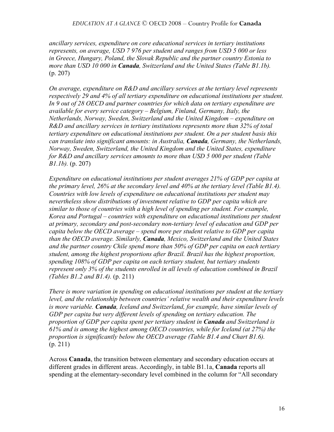*ancillary services, expenditure on core educational services in tertiary institutions represents, on average, USD 7 976 per student and ranges from USD 5 000 or less in Greece, Hungary, Poland, the Slovak Republic and the partner country Estonia to more than USD 10 000 in Canada, Switzerland and the United States (Table B1.1b).* (p. 207)

*On average, expenditure on R&D and ancillary services at the tertiary level represents respectively 29 and 4% of all tertiary expenditure on educational institutions per student. In 9 out of 28 OECD and partner countries for which data on tertiary expenditure are available for every service category – Belgium, Finland, Germany, Italy, the Netherlands, Norway, Sweden, Switzerland and the United Kingdom – expenditure on R&D and ancillary services in tertiary institutions represents more than 32% of total tertiary expenditure on educational institutions per student. On a per student basis this can translate into significant amounts: in Australia, Canada, Germany, the Netherlands, Norway, Sweden, Switzerland, the United Kingdom and the United States, expenditure for R&D and ancillary services amounts to more than USD 5 000 per student (Table B1.1b).* (p. 207)

*Expenditure on educational institutions per student averages 21% of GDP per capita at the primary level, 26% at the secondary level and 40% at the tertiary level (Table B1.4). Countries with low levels of expenditure on educational institutions per student may nevertheless show distributions of investment relative to GDP per capita which are similar to those of countries with a high level of spending per student. For example, Korea and Portugal – countries with expenditure on educational institutions per student at primary, secondary and post-secondary non-tertiary level of education and GDP per capita below the OECD average – spend more per student relative to GDP per capita than the OECD average. Similarly, Canada, Mexico, Switzerland and the United States and the partner country Chile spend more than 50% of GDP per capita on each tertiary student, among the highest proportions after Brazil. Brazil has the highest proportion, spending 108% of GDP per capita on each tertiary student, but tertiary students represent only 3% of the students enrolled in all levels of education combined in Brazil (Tables B1.2 and B1.4).* (p. 211)

*There is more variation in spending on educational institutions per student at the tertiary level, and the relationship between countries' relative wealth and their expenditure levels is more variable. Canada, Iceland and Switzerland, for example, have similar levels of GDP per capita but very different levels of spending on tertiary education. The proportion of GDP per capita spent per tertiary student in Canada and Switzerland is 61% and is among the highest among OECD countries, while for Iceland (at 27%) the proportion is significantly below the OECD average (Table B1.4 and Chart B1.6).*  (p. 211)

Across **Canada**, the transition between elementary and secondary education occurs at different grades in different areas. Accordingly, in table B1.1a, **Canada** reports all spending at the elementary-secondary level combined in the column for "All secondary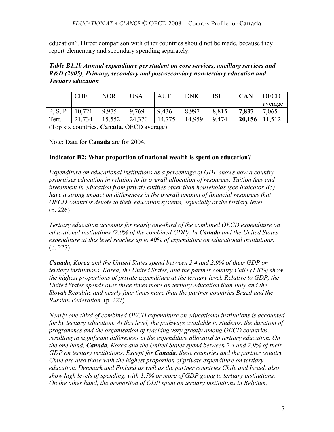education". Direct comparison with other countries should not be made, because they report elementary and secondary spending separately.

*Table B1.1b Annual expenditure per student on core services, ancillary services and R&D (2005), Primary, secondary and post-secondary non-tertiary education and Tertiary education* 

|         | CHE               | <b>NOR</b> | USA    | <b>AUT</b> | <b>DNK</b> | ISL   | CAN    | OECD    |
|---------|-------------------|------------|--------|------------|------------|-------|--------|---------|
|         |                   |            |        |            |            |       |        | average |
| D<br>ັ້ | 0,72<br>$\sim$ 1  | QQ75       | 9,769  | 9,436      | 8,997      | 8,815 | 7,837  | 7,065   |
| Tert.   | 734<br>$\sim$ 1.1 | 13.032     | 24,370 | 14.7       | 14,959     | 9,474 | 20,156 |         |

(Top six countries, **Canada**, OECD average)

Note: Data for **Canada** are for 2004.

# **Indicator B2: What proportion of national wealth is spent on education?**

*Expenditure on educational institutions as a percentage of GDP shows how a country prioritises education in relation to its overall allocation of resources. Tuition fees and investment in education from private entities other than households (see Indicator B5)*  have a strong impact on differences in the overall amount of financial resources that *OECD countries devote to their education systems, especially at the tertiary level.*  (p. 226)

*Tertiary education accounts for nearly one-third of the combined OECD expenditure on educational institutions (2.0% of the combined GDP). In Canada and the United States expenditure at this level reaches up to 40% of expenditure on educational institutions.*  (p. 227)

*Canada, Korea and the United States spend between 2.4 and 2.9% of their GDP on tertiary institutions. Korea, the United States, and the partner country Chile (1.8%) show the highest proportions of private expenditure at the tertiary level. Relative to GDP, the United States spends over three times more on tertiary education than Italy and the Slovak Republic and nearly four times more than the partner countries Brazil and the Russian Federation.* (p. 227)

*Nearly one-third of combined OECD expenditure on educational institutions is accounted for by tertiary education. At this level, the pathways available to students, the duration of programmes and the organisation of teaching vary greatly among OECD countries, resulting in significant differences in the expenditure allocated to tertiary education. On the one hand, Canada, Korea and the United States spend between 2.4 and 2.9% of their GDP on tertiary institutions. Except for Canada, these countries and the partner country Chile are also those with the highest proportion of private expenditure on tertiary education. Denmark and Finland as well as the partner countries Chile and Israel, also show high levels of spending, with 1.7% or more of GDP going to tertiary institutions. On the other hand, the proportion of GDP spent on tertiary institutions in Belgium,*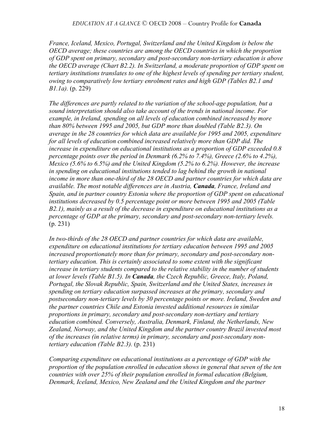*France, Iceland, Mexico, Portugal, Switzerland and the United Kingdom is below the OECD average; these countries are among the OECD countries in which the proportion of GDP spent on primary, secondary and post-secondary non-tertiary education is above the OECD average (Chart B2.2). In Switzerland, a moderate proportion of GDP spent on tertiary institutions translates to one of the highest levels of spending per tertiary student, owing to comparatively low tertiary enrolment rates and high GDP (Tables B2.1 and B1.1a).* (p. 229)

*The differences are partly related to the variation of the school-age population, but a sound interpretation should also take account of the trends in national income. For example, in Ireland, spending on all levels of education combined increased by more than 80% between 1995 and 2005, but GDP more than doubled (Table B2.3). On average in the 28 countries for which data are available for 1995 and 2005, expenditure for all levels of education combined increased relatively more than GDP did. The increase in expenditure on educational institutions as a proportion of GDP exceeded 0.8 percentage points over the period in Denmark (6.2% to 7.4%), Greece (2.6% to 4.2%), Mexico (5.6% to 6.5%) and the United Kingdom (5.2% to 6.2%). However, the increase in spending on educational institutions tended to lag behind the growth in national income in more than one-third of the 28 OECD and partner countries for which data are available. The most notable differences are in Austria, Canada, France, Ireland and Spain, and in partner country Estonia where the proportion of GDP spent on educational institutions decreased by 0.5 percentage point or more between 1995 and 2005 (Table B2.1), mainly as a result of the decrease in expenditure on educational institutions as a percentage of GDP at the primary, secondary and post-secondary non-tertiary levels.*  (p. 231)

*In two-thirds of the 28 OECD and partner countries for which data are available, expenditure on educational institutions for tertiary education between 1995 and 2005 increased proportionately more than for primary, secondary and post-secondary nontertiary education. This is certainly associated to some extent with the significant increase in tertiary students compared to the relative stability in the number of students at lower levels (Table B1.5). In Canada, the Czech Republic, Greece, Italy, Poland, Portugal, the Slovak Republic, Spain, Switzerland and the United States, increases in spending on tertiary education surpassed increases at the primary, secondary and postsecondary non-tertiary levels by 30 percentage points or more. Ireland, Sweden and the partner countries Chile and Estonia invested additional resources in similar proportions in primary, secondary and post-secondary non-tertiary and tertiary education combined. Conversely, Australia, Denmark, Finland, the Netherlands, New Zealand, Norway, and the United Kingdom and the partner country Brazil invested most of the increases (in relative terms) in primary, secondary and post-secondary nontertiary education (Table B2.3).* (p. 231)

*Comparing expenditure on educational institutions as a percentage of GDP with the proportion of the population enrolled in education shows in general that seven of the ten countries with over 25% of their population enrolled in formal education (Belgium, Denmark, Iceland, Mexico, New Zealand and the United Kingdom and the partner*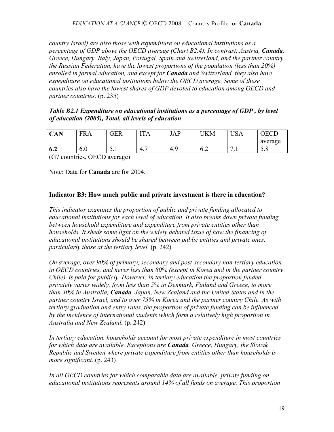*country Israel) are also those with expenditure on educational institutions as a percentage of GDP above the OECD average (Chart B2.4). In contrast, Austria, Canada, Greece, Hungary, Italy, Japan, Portugal, Spain and Switzerland, and the partner country the Russian Federation, have the lowest proportions of the population (less than 20%) enrolled in formal education, and except for Canada and Switzerland, they also have expenditure on educational institutions below the OECD average. Some of these countries also have the lowest shares of GDP devoted to education among OECD and partner countries.* (p. 235)

# *Table B2.1 Expenditure on educational institutions as a percentage of GDP , by level of education (2005), Total, all levels of education*

| <b>CAN</b> | FR<br>КA | <b>GER</b>                            | <b>TTP</b><br>1 A          | JAF<br>u           | 'KM | <b>TTO</b><br>USA | OECD    |
|------------|----------|---------------------------------------|----------------------------|--------------------|-----|-------------------|---------|
|            |          |                                       |                            |                    |     |                   | average |
| 6.2        | 0.U      | $\mathbf{\mathcal{L}}\cdot\mathbf{I}$ | $\overline{ }$<br>╯<br>. . | $\Delta$<br>◡<br>. | 6.2 | .                 | J.0     |

(G7 countries, OECD average)

Note: Data for **Canada** are for 2004.

# **Indicator B3: How much public and private investment is there in education?**

*This indicator examines the proportion of public and private funding allocated to educational institutions for each level of education. It also breaks down private funding between household expenditure and expenditure from private entities other than households. It sheds some light on the widely debated issue of how the financing of educational institutions should be shared between public entities and private ones, particularly those at the tertiary level.* (p. 242)

*On average, over 90% of primary, secondary and post-secondary non-tertiary education in OECD countries, and never less than 80% (except in Korea and in the partner country Chile), is paid for publicly. However, in tertiary education the proportion funded privately varies widely, from less than 5% in Denmark, Finland and Greece, to more than 40% in Australia, Canada, Japan, New Zealand and the United States and in the partner country Israel, and to over 75% in Korea and the partner country Chile. As with tertiary graduation and entry rates, the proportion of private funding can be influenced by the incidence of international students which form a relatively high proportion in Australia and New Zealand.* (p. 242)

*In tertiary education, households account for most private expenditure in most countries for which data are available. Exceptions are Canada, Greece, Hungary, the Slovak Republic and Sweden where private expenditure from entities other than households is more significant.* (p. 243)

*In all OECD countries for which comparable data are available, private funding on educational institutions represents around 14% of all funds on average. This proportion*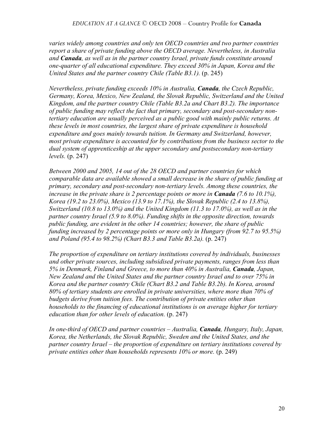*varies widely among countries and only ten OECD countries and two partner countries report a share of private funding above the OECD average. Nevertheless, in Australia and Canada, as well as in the partner country Israel, private funds constitute around one-quarter of all educational expenditure. They exceed 30% in Japan, Korea and the United States and the partner country Chile (Table B3.1).* (p. 245)

*Nevertheless, private funding exceeds 10% in Australia, Canada, the Czech Republic, Germany, Korea, Mexico, New Zealand, the Slovak Republic, Switzerland and the United Kingdom, and the partner country Chile (Table B3.2a and Chart B3.2). The importance of public funding may reflect the fact that primary, secondary and post-secondary nontertiary education are usually perceived as a public good with mainly public returns. At these levels in most countries, the largest share of private expenditure is household expenditure and goes mainly towards tuition. In Germany and Switzerland, however, most private expenditure is accounted for by contributions from the business sector to the dual system of apprenticeship at the upper secondary and postsecondary non-tertiary levels.* (p. 247)

*Between 2000 and 2005, 14 out of the 28 OECD and partner countries for which comparable data are available showed a small decrease in the share of public funding at primary, secondary and post-secondary non-tertiary levels. Among these countries, the increase in the private share is 2 percentage points or more in Canada (7.6 to 10.1%), Korea (19.2 to 23.0%), Mexico (13.9 to 17.1%), the Slovak Republic (2.4 to 13.8%), Switzerland (10.8 to 13.0%) and the United Kingdom (11.3 to 17.0%), as well as in the partner country Israel (5.9 to 8.0%). Funding shifts in the opposite direction, towards public funding, are evident in the other 14 countries; however, the share of public funding increased by 2 percentage points or more only in Hungary (from 92.7 to 95.5%) and Poland (95.4 to 98.2%) (Chart B3.3 and Table B3.2a).* (p. 247)

*The proportion of expenditure on tertiary institutions covered by individuals, businesses and other private sources, including subsidised private payments, ranges from less than 5% in Denmark, Finland and Greece, to more than 40% in Australia, Canada, Japan, New Zealand and the United States and the partner country Israel and to over 75% in Korea and the partner country Chile (Chart B3.2 and Table B3.2b). In Korea, around 80% of tertiary students are enrolled in private universities, where more than 70% of budgets derive from tuition fees. The contribution of private entities other than households to the financing of educational institutions is on average higher for tertiary education than for other levels of education.* (p. 247)

*In one-third of OECD and partner countries – Australia, Canada, Hungary, Italy, Japan, Korea, the Netherlands, the Slovak Republic, Sweden and the United States, and the partner country Israel – the proportion of expenditure on tertiary institutions covered by private entities other than households represents 10% or more.* (p. 249)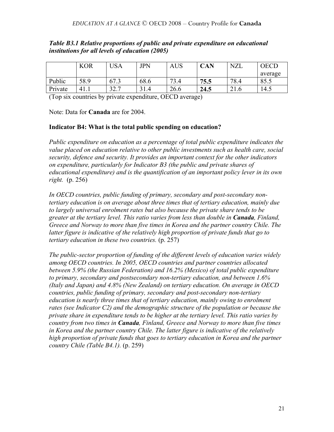# *Table B3.1 Relative proportions of public and private expenditure on educational institutions for all levels of education (2005)*

|         | <b>KOR</b> | USA       | <b>JPN</b> | AUS  | CAN  | <b>NZL</b> | OECD    |
|---------|------------|-----------|------------|------|------|------------|---------|
|         |            |           |            |      |      |            | average |
| Public  | 58.9       | 67        | 68.6       | 73.4 | 75.5 | 78.4       | 85.5    |
| Private | $-41.1$    | 22 J<br>، | 31.4       | 26.6 | 24.5 | 21.6       | 14.5    |

(Top six countries by private expenditure, OECD average)

Note: Data for **Canada** are for 2004.

# **Indicator B4: What is the total public spending on education?**

*Public expenditure on education as a percentage of total public expenditure indicates the value placed on education relative to other public investments such as health care, social security, defence and security. It provides an important context for the other indicators on expenditure, particularly for Indicator B3 (the public and private shares of educational expenditure) and is the quantification of an important policy lever in its own right.* (p. 256)

*In OECD countries, public funding of primary, secondary and post-secondary nontertiary education is on average about three times that of tertiary education, mainly due to largely universal enrolment rates but also because the private share tends to be greater at the tertiary level. This ratio varies from less than double in Canada, Finland, Greece and Norway to more than five times in Korea and the partner country Chile. The*  latter figure is indicative of the relatively high proportion of private funds that go to *tertiary education in these two countries.* (p. 257)

*The public-sector proportion of funding of the different levels of education varies widely among OECD countries. In 2005, OECD countries and partner countries allocated between 5.9% (the Russian Federation) and 16.2% (Mexico) of total public expenditure to primary, secondary and postsecondary non-tertiary education, and between 1.6% (Italy and Japan) and 4.8% (New Zealand) on tertiary education. On average in OECD countries, public funding of primary, secondary and post-secondary non-tertiary education is nearly three times that of tertiary education, mainly owing to enrolment rates (see Indicator C2) and the demographic structure of the population or because the private share in expenditure tends to be higher at the tertiary level. This ratio varies by country from two times in Canada, Finland, Greece and Norway to more than five times in Korea and the partner country Chile. The latter figure is indicative of the relatively high proportion of private funds that goes to tertiary education in Korea and the partner country Chile (Table B4.1).* (p. 259)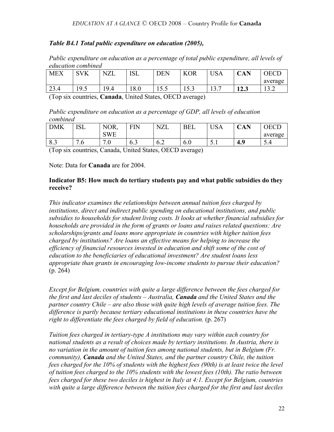# *Table B4.1 Total public expenditure on education (2005),*

*Public expenditure on education as a percentage of total public expenditure, all levels of education combined* 

| <b>MEX</b>      | SVK                      | $NZ^r$<br>◥▱▭ | $T \cap T$<br>∟ט⊥                                | <b>DEN</b>      | V <sub>0</sub><br>OR | $T \cap I$<br>Aטי. |      | OECD        |
|-----------------|--------------------------|---------------|--------------------------------------------------|-----------------|----------------------|--------------------|------|-------------|
|                 |                          |               |                                                  |                 |                      |                    |      | average     |
| $\sim$<br>2.3.4 | $\mathbf Q$<br>1 . J . J | a<br>9.4      | $\circ$ $\circ$<br>$\mathbf{v} \cdot \mathbf{v}$ | $1 \cup . \cup$ | 1 J .J               | 1 J . I            | 12.3 | ◠<br>1 J .Z |

(Top six countries, **Canada**, United States, OECD average)

*Public expenditure on education as a percentage of GDP, all levels of education combined* 

| <b>DMK</b> | тат<br>∟טב                      | NOR,                 | <b>FIN</b><br>. . | $ATZ^+$<br>N.<br>- YZJ       | <b>RFI</b><br>பபட | $T_{\rm C}$ and $\Lambda$<br>USA | $\mathbf{\Lambda} \mathbf{N}$<br>◡▴◣ | . .<br>しレンレ |
|------------|---------------------------------|----------------------|-------------------|------------------------------|-------------------|----------------------------------|--------------------------------------|-------------|
|            |                                 | SWE                  |                   |                              |                   |                                  |                                      | average     |
| O<br>0.5   | $\overline{\phantom{0}}$<br>. О | –<br>$\cdot$ $\circ$ | h<br>◡.◡          | ∽<br>$\mathsf{v}.\mathsf{v}$ | v.v               | $\sim\cdot$ 1                    | ∣ Q<br>4.5                           | ◡.⊤         |

(Top six countries, Canada, United States, OECD average)

Note: Data for **Canada** are for 2004.

#### **Indicator B5: How much do tertiary students pay and what public subsidies do they receive?**

*This indicator examines the relationships between annual tuition fees charged by institutions, direct and indirect public spending on educational institutions, and public subsidies to households for student living costs. It looks at whether financial subsidies for households are provided in the form of grants or loans and raises related questions: Are scholarships/grants and loans more appropriate in countries with higher tuition fees charged by institutions? Are loans an effective means for helping to increase the efficiency of financial resources invested in education and shift some of the cost of education to the beneficiaries of educational investment? Are student loans less appropriate than grants in encouraging low-income students to pursue their education?*  (p. 264)

*Except for Belgium, countries with quite a large difference between the fees charged for the first and last deciles of students – Australia, Canada and the United States and the partner country Chile – are also those with quite high levels of average tuition fees. The difference is partly because tertiary educational institutions in these countries have the right to differentiate the fees charged by field of education.* (p. 267)

*Tuition fees charged in tertiary-type A institutions may vary within each country for national students as a result of choices made by tertiary institutions. In Austria, there is no variation in the amount of tuition fees among national students, but in Belgium (Fr. community), Canada and the United States, and the partner country Chile, the tuition fees charged for the 10% of students with the highest fees (90th) is at least twice the level of tuition fees charged to the 10% students with the lowest fees (10th). The ratio between fees charged for these two deciles is highest in Italy at 4:1. Except for Belgium, countries with quite a large difference between the tuition fees charged for the first and last deciles*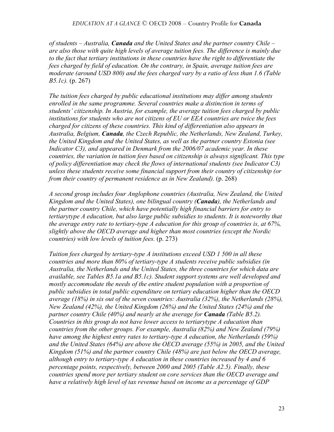*of students – Australia, Canada and the United States and the partner country Chile – are also those with quite high levels of average tuition fees. The difference is mainly due to the fact that tertiary institutions in these countries have the right to differentiate the fees charged by field of education. On the contrary, in Spain, average tuition fees are moderate (around USD 800) and the fees charged vary by a ratio of less than 1.6 (Table B5.1c).* (p. 267)

*The tuition fees charged by public educational institutions may differ among students enrolled in the same programme. Several countries make a distinction in terms of students' citizenship. In Austria, for example, the average tuition fees charged by public institutions for students who are not citizens of EU or EEA countries are twice the fees charged for citizens of these countries. This kind of differentiation also appears in Australia, Belgium, Canada, the Czech Republic, the Netherlands, New Zealand, Turkey, the United Kingdom and the United States, as well as the partner country Estonia (see Indicator C3), and appeared in Denmark from the 2006/07 academic year. In these countries, the variation in tuition fees based on citizenship is always significant. This type of policy differentiation may check the flows of international students (see Indicator C3) unless these students receive some financial support from their country of citizenship (or from their country of permanent residence as in New Zealand).* (p. 268)

*A second group includes four Anglophone countries (Australia, New Zealand, the United Kingdom and the United States), one bilingual country (Canada), the Netherlands and the partner country Chile, which have potentially high financial barriers for entry to tertiarytype A education, but also large public subsidies to students. It is noteworthy that the average entry rate to tertiary-type A education for this group of countries is, at 67%, slightly above the OECD average and higher than most countries (except the Nordic countries) with low levels of tuition fees.* (p. 273)

*Tuition fees charged by tertiary-type A institutions exceed USD 1 500 in all these countries and more than 80% of tertiary-type A students receive public subsidies (in Australia, the Netherlands and the United States, the three countries for which data are available, see Tables B5.1a and B5.1c). Student support systems are well developed and mostly accommodate the needs of the entire student population with a proportion of public subsidies in total public expenditure on tertiary education higher than the OECD average (18%) in six out of the seven countries: Australia (32%), the Netherlands (28%), New Zealand (42%), the United Kingdom (26%) and the United States (24%) and the partner country Chile (40%) and nearly at the average for Canada (Table B5.2). Countries in this group do not have lower access to tertiarytype A education than countries from the other groups. For example, Australia (82%) and New Zealand (79%) have among the highest entry rates to tertiary-type A education, the Netherlands (59%) and the United States (64%) are above the OECD average (55%) in 2005, and the United Kingdom (51%) and the partner country Chile (48%) are just below the OECD average, although entry to tertiary-type A education in these countries increased by 4 and 6 percentage points, respectively, between 2000 and 2005 (Table A2.5). Finally, these countries spend more per tertiary student on core services than the OECD average and have a relatively high level of tax revenue based on income as a percentage of GDP*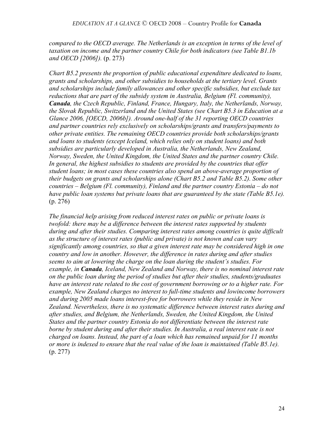*compared to the OECD average. The Netherlands is an exception in terms of the level of taxation on income and the partner country Chile for both indicators (see Table B1.1b and OECD [2006]).* (p. 273)

*Chart B5.2 presents the proportion of public educational expenditure dedicated to loans, grants and scholarships, and other subsidies to households at the tertiary level. Grants and scholarships include family allowances and other specific subsidies, but exclude tax reductions that are part of the subsidy system in Australia, Belgium (Fl. community), Canada, the Czech Republic, Finland, France, Hungary, Italy, the Netherlands, Norway, the Slovak Republic, Switzerland and the United States (see Chart B5.3 in Education at a Glance 2006, [OECD, 2006b]). Around one-half of the 31 reporting OECD countries and partner countries rely exclusively on scholarships/grants and transfers/payments to other private entities. The remaining OECD countries provide both scholarships/grants and loans to students (except Iceland, which relies only on student loans) and both subsidies are particularly developed in Australia, the Netherlands, New Zealand, Norway, Sweden, the United Kingdom, the United States and the partner country Chile. In general, the highest subsidies to students are provided by the countries that offer student loans; in most cases these countries also spend an above-average proportion of their budgets on grants and scholarships alone (Chart B5.2 and Table B5.2). Some other countries – Belgium (Fl. community), Finland and the partner country Estonia – do not have public loan systems but private loans that are guaranteed by the state (Table B5.1e).*  (p. 276)

*The financial help arising from reduced interest rates on public or private loans is twofold: there may be a difference between the interest rates supported by students during and after their studies. Comparing interest rates among countries is quite difficult as the structure of interest rates (public and private) is not known and can vary significantly among countries, so that a given interest rate may be considered high in one country and low in another. However, the difference in rates during and after studies seems to aim at lowering the charge on the loan during the student's studies. For example, in Canada, Iceland, New Zealand and Norway, there is no nominal interest rate on the public loan during the period of studies but after their studies, students/graduates have an interest rate related to the cost of government borrowing or to a higher rate. For example, New Zealand charges no interest to full-time students and lowincome borrowers and during 2005 made loans interest-free for borrowers while they reside in New Zealand. Nevertheless, there is no systematic difference between interest rates during and after studies, and Belgium, the Netherlands, Sweden, the United Kingdom, the United States and the partner country Estonia do not differentiate between the interest rate borne by student during and after their studies. In Australia, a real interest rate is not charged on loans. Instead, the part of a loan which has remained unpaid for 11 months or more is indexed to ensure that the real value of the loan is maintained (Table B5.1e).*  (p. 277)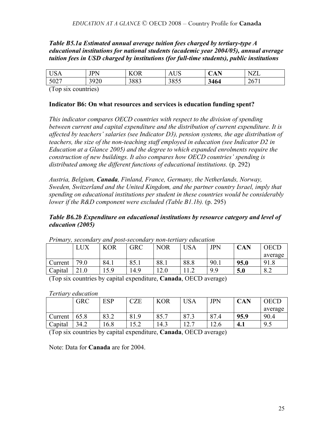### *Table B5.1a Estimated annual average tuition fees charged by tertiary-type A educational institutions for national students (academic year 2004/05), annual average tuition fees in USD charged by institutions (for full-time students), public institutions*

| <b>TTC</b><br>SА | <b>IPN</b><br>$J_{\perp}$ . | <b>OR</b><br>$\mathbf{v}$<br>V | $T \cap$<br>$\mathbf{A}$<br>110U | CAN  | <b>AITT</b><br>N<br>IYAL |
|------------------|-----------------------------|--------------------------------|----------------------------------|------|--------------------------|
| 5027<br>JUL      | 3020<br>しノムい                | 3883                           | 2055<br>3833                     | 3464 | 2671                     |

(Top six countries)

#### **Indicator B6: On what resources and services is education funding spent?**

*This indicator compares OECD countries with respect to the division of spending between current and capital expenditure and the distribution of current expenditure. It is affected by teachers' salaries (see Indicator D3), pension systems, the age distribution of teachers, the size of the non-teaching staff employed in education (see Indicator D2 in Education at a Glance 2005) and the degree to which expanded enrolments require the construction of new buildings. It also compares how OECD countries' spending is distributed among the different functions of educational institutions.* (p. 292)

*Austria, Belgium, Canada, Finland, France, Germany, the Netherlands, Norway, Sweden, Switzerland and the United Kingdom, and the partner country Israel, imply that spending on educational institutions per student in these countries would be considerably lower if the R&D component were excluded (Table B1.1b).* (p. 295)

#### *Table B6.2b Expenditure on educational institutions by resource category and level of education (2005)*

| ---------- | ---------- |                |      |            | ------------ |            |      |                |
|------------|------------|----------------|------|------------|--------------|------------|------|----------------|
|            | LUX        | <b>KOR</b>     | GRC  | <b>NOR</b> | <b>JSA</b>   | <b>JPN</b> | CAN  | OECL           |
|            |            |                |      |            |              |            |      | average        |
| Current    | 79.0       | 84.1           | 85.1 | 88.1       | 88.8         | 90.1       | 95.0 | Q <sub>1</sub> |
| Capital    | 21.0       | ∶ Q<br>1 J . J | 14.9 | 2.0        |              | 9.9        | 5.0  | 8.2            |

*Primary, secondary and post-secondary non-tertiary education* 

(Top six countries by capital expenditure, **Canada**, OECD average)

*Tertiary education* 

|         | GRC  | ESP  | CZE    | <b>KOR</b> | ' ISA       | <b>JPN</b>     | CAN        | OECD    |
|---------|------|------|--------|------------|-------------|----------------|------------|---------|
|         |      |      |        |            |             |                |            | average |
| Current | 65.8 | 83.2 | 81.9   | 85.7       | O7<br>0/0.5 | O <sub>7</sub> | 95.9       | 90.4    |
| Capital | 34.2 | 16.8 | 1 J .Z | 14.3       | 1/2         | 12.6           | <b>4.1</b> | Q<br>J  |

(Top six countries by capital expenditure, **Canada**, OECD average)

Note: Data for **Canada** are for 2004.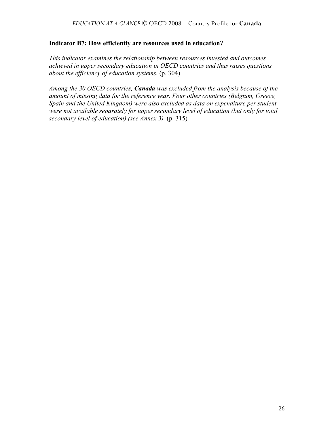#### **Indicator B7: How efficiently are resources used in education?**

*This indicator examines the relationship between resources invested and outcomes achieved in upper secondary education in OECD countries and thus raises questions about the efficiency of education systems.* (p. 304)

*Among the 30 OECD countries, Canada was excluded from the analysis because of the amount of missing data for the reference year. Four other countries (Belgium, Greece,*  Spain and the United Kingdom) were also excluded as data on expenditure per student *were not available separately for upper secondary level of education (but only for total secondary level of education) (see Annex 3).* (p. 315)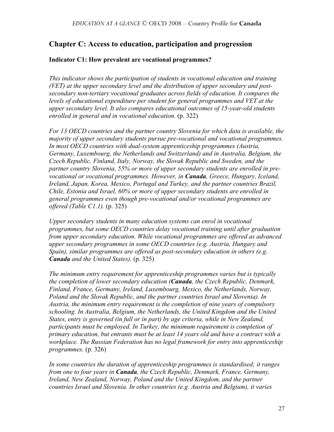# **Chapter C: Access to education, participation and progression**

## **Indicator C1: How prevalent are vocational programmes?**

*This indicator shows the participation of students in vocational education and training (VET) at the upper secondary level and the distribution of upper secondary and postsecondary non-tertiary vocational graduates across fields of education. It compares the levels of educational expenditure per student for general programmes and VET at the upper secondary level. It also compares educational outcomes of 15-year-old students enrolled in general and in vocational education.* (p. 322)

*For 13 OECD countries and the partner country Slovenia for which data is available, the majority of upper secondary students pursue pre-vocational and vocational programmes. In most OECD countries with dual-system apprenticeship programmes (Austria, Germany, Luxembourg, the Netherlands and Switzerland) and in Australia, Belgium, the Czech Republic, Finland, Italy, Norway, the Slovak Republic and Sweden, and the partner country Slovenia, 55% or more of upper secondary students are enrolled in prevocational or vocational programmes. However, in Canada, Greece, Hungary, Iceland, Ireland, Japan, Korea, Mexico, Portugal and Turkey, and the partner countries Brazil, Chile, Estonia and Israel, 60% or more of upper secondary students are enrolled in general programmes even though pre-vocational and/or vocational programmes are offered (Table C1.1).* (p. 325)

*Upper secondary students in many education systems can enrol in vocational programmes, but some OECD countries delay vocational training until after graduation from upper secondary education. While vocational programmes are offered as advanced upper secondary programmes in some OECD countries (e.g. Austria, Hungary and Spain), similar programmes are offered as post-secondary education in others (e.g. Canada and the United States).* (p. 325)

*The minimum entry requirement for apprenticeship programmes varies but is typically the completion of lower secondary education (Canada, the Czech Republic, Denmark, Finland, France, Germany, Ireland, Luxembourg, Mexico, the Netherlands, Norway, Poland and the Slovak Republic, and the partner countries Israel and Slovenia). In Austria, the minimum entry requirement is the completion of nine years of compulsory schooling. In Australia, Belgium, the Netherlands, the United Kingdom and the United States, entry is governed (in full or in part) by age criteria, while in New Zealand, participants must be employed. In Turkey, the minimum requirement is completion of primary education, but entrants must be at least 14 years old and have a contract with a workplace. The Russian Federation has no legal framework for entry into apprenticeship programmes.* (p. 326)

*In some countries the duration of apprenticeship programmes is standardised; it ranges from one to four years in Canada, the Czech Republic, Denmark, France, Germany, Ireland, New Zealand, Norway, Poland and the United Kingdom, and the partner countries Israel and Slovenia. In other countries (e.g. Austria and Belgium), it varies*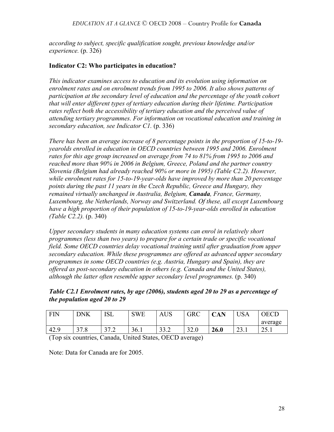*according to subject, specific qualification sought, previous knowledge and/or experience.* (p. 326)

# **Indicator C2: Who participates in education?**

*This indicator examines access to education and its evolution using information on enrolment rates and on enrolment trends from 1995 to 2006. It also shows patterns of participation at the secondary level of education and the percentage of the youth cohort that will enter different types of tertiary education during their lifetime. Participation*  rates reflect both the accessibility of tertiary education and the perceived value of *attending tertiary programmes. For information on vocational education and training in secondary education, see Indicator C1.* (p. 336)

*There has been an average increase of 8 percentage points in the proportion of 15-to-19 yearolds enrolled in education in OECD countries between 1995 and 2006. Enrolment rates for this age group increased on average from 74 to 81% from 1995 to 2006 and reached more than 90% in 2006 in Belgium, Greece, Poland and the partner country Slovenia (Belgium had already reached 90% or more in 1995) (Table C2.2). However, while enrolment rates for 15-to-19-year-olds have improved by more than 20 percentage points during the past 11 years in the Czech Republic, Greece and Hungary, they remained virtually unchanged in Australia, Belgium, Canada, France, Germany, Luxembourg, the Netherlands, Norway and Switzerland. Of these, all except Luxembourg have a high proportion of their population of 15-to-19-year-olds enrolled in education (Table C2.2).* (p. 340)

*Upper secondary students in many education systems can enrol in relatively short programmes (less than two years) to prepare for a certain trade or specific vocational field. Some OECD countries delay vocational training until after graduation from upper secondary education. While these programmes are offered as advanced upper secondary programmes in some OECD countries (e.g. Austria, Hungary and Spain), they are offered as post-secondary education in others (e.g. Canada and the United States), although the latter often resemble upper secondary level programmes.* (p. 340)

| $\mathbf{1}$ | ◡          |           |            |            |     |     |            |         |
|--------------|------------|-----------|------------|------------|-----|-----|------------|---------|
| <b>FIN</b>   | <b>DNK</b> | TCT<br>∟ט | <b>SWE</b> | <b>AUS</b> | GRC | CAN | <b>USA</b> | OECD    |
|              |            |           |            |            |     |     |            | average |

42.9 37.8 37.2 36.1 33.2 32.0 **26.0** 23.1 25.1

*Table C2.1 Enrolment rates, by age (2006), students aged 20 to 29 as a percentage of the population aged 20 to 29* 

(Top six countries, Canada, United States, OECD average)

Note: Data for Canada are for 2005.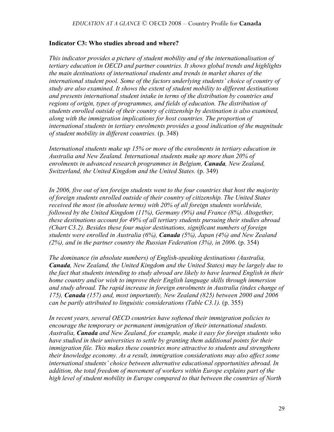#### **Indicator C3: Who studies abroad and where?**

*This indicator provides a picture of student mobility and of the internationalisation of tertiary education in OECD and partner countries. It shows global trends and highlights the main destinations of international students and trends in market shares of the international student pool. Some of the factors underlying students' choice of country of study are also examined. It shows the extent of student mobility to different destinations and presents international student intake in terms of the distribution by countries and*  regions of origin, types of programmes, and fields of education. The distribution of *students enrolled outside of their country of citizenship by destination is also examined, along with the immigration implications for host countries. The proportion of international students in tertiary enrolments provides a good indication of the magnitude of student mobility in different countries.* (p. 348)

*International students make up 15% or more of the enrolments in tertiary education in Australia and New Zealand. International students make up more than 20% of enrolments in advanced research programmes in Belgium, Canada, New Zealand, Switzerland, the United Kingdom and the United States.* (p. 349)

*In 2006, five out of ten foreign students went to the four countries that host the majority of foreign students enrolled outside of their country of citizenship. The United States received the most (in absolute terms) with 20% of all foreign students worldwide, followed by the United Kingdom (11%), Germany (9%) and France (8%). Altogether, these destinations account for 49% of all tertiary students pursuing their studies abroad (Chart C3.2). Besides these four major destinations, significant numbers of foreign students were enrolled in Australia (6%), Canada (5%), Japan (4%) and New Zealand (2%), and in the partner country the Russian Federation (3%), in 2006.* (p. 354)

*The dominance (in absolute numbers) of English-speaking destinations (Australia, Canada, New Zealand, the United Kingdom and the United States) may be largely due to the fact that students intending to study abroad are likely to have learned English in their home country and/or wish to improve their English language skills through immersion and study abroad. The rapid increase in foreign enrolments in Australia (index change of 175), Canada (157) and, most importantly, New Zealand (825) between 2000 and 2006 can be partly attributed to linguistic considerations (Table C3.1).* (p. 355)

*In recent years, several OECD countries have softened their immigration policies to encourage the temporary or permanent immigration of their international students. Australia, Canada and New Zealand, for example, make it easy for foreign students who have studied in their universities to settle by granting them additional points for their immigration file. This makes these countries more attractive to students and strengthens their knowledge economy. As a result, immigration considerations may also affect some international students' choice between alternative educational opportunities abroad. In addition, the total freedom of movement of workers within Europe explains part of the high level of student mobility in Europe compared to that between the countries of North*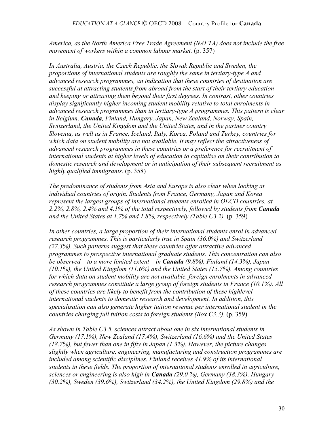*America, as the North America Free Trade Agreement (NAFTA) does not include the free movement of workers within a common labour market.* (p. 357)

*In Australia, Austria, the Czech Republic, the Slovak Republic and Sweden, the proportions of international students are roughly the same in tertiary-type A and advanced research programmes, an indication that these countries of destination are successful at attracting students from abroad from the start of their tertiary education and keeping or attracting them beyond their first degrees. In contrast, other countries display significantly higher incoming student mobility relative to total enrolments in advanced research programmes than in tertiary-type A programmes. This pattern is clear in Belgium, Canada, Finland, Hungary, Japan, New Zealand, Norway, Spain, Switzerland, the United Kingdom and the United States, and in the partner country Slovenia, as well as in France, Iceland, Italy, Korea, Poland and Turkey, countries for which data on student mobility are not available. It may reflect the attractiveness of advanced research programmes in these countries or a preference for recruitment of international students at higher levels of education to capitalise on their contribution to domestic research and development or in anticipation of their subsequent recruitment as highly qualified immigrants.* (p. 358)

*The predominance of students from Asia and Europe is also clear when looking at individual countries of origin. Students from France, Germany, Japan and Korea represent the largest groups of international students enrolled in OECD countries, at 2.2%, 2.8%, 2.4% and 4.1% of the total respectively, followed by students from Canada and the United States at 1.7% and 1.8%, respectively (Table C3.2).* (p. 359)

*In other countries, a large proportion of their international students enrol in advanced research programmes. This is particularly true in Spain (36.0%) and Switzerland (27.3%). Such patterns suggest that these countries offer attractive advanced programmes to prospective international graduate students. This concentration can also be observed – to a more limited extent – in Canada (9.8%), Finland (14.3%), Japan (10.1%), the United Kingdom (11.6%) and the United States (15.7%). Among countries for which data on student mobility are not available, foreign enrolments in advanced research programmes constitute a large group of foreign students in France (10.1%). All of these countries are likely to benefit from the contribution of these highlevel international students to domestic research and development. In addition, this specialisation can also generate higher tuition revenue per international student in the countries charging full tuition costs to foreign students (Box C3.3).* (p. 359)

*As shown in Table C3.5, sciences attract about one in six international students in Germany (17.1%), New Zealand (17.4%), Switzerland (16.6%) and the United States (18.7%), but fewer than one in fifty in Japan (1.3%). However, the picture changes slightly when agriculture, engineering, manufacturing and construction programmes are included among scientific disciplines. Finland receives 41.9% of its international students in these fields. The proportion of international students enrolled in agriculture, sciences or engineering is also high in Canada (29.0 %), Germany (38.3%), Hungary (30.2%), Sweden (39.6%), Switzerland (34.2%), the United Kingdom (29.8%) and the*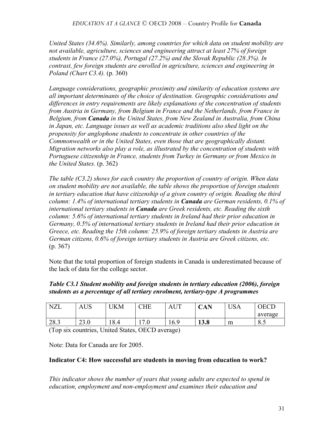*United States (34.6%). Similarly, among countries for which data on student mobility are not available, agriculture, sciences and engineering attract at least 27% of foreign students in France (27.0%), Portugal (27.2%) and the Slovak Republic (28.3%). In contrast, few foreign students are enrolled in agriculture, sciences and engineering in Poland (Chart C3.4).* (p. 360)

*Language considerations, geographic proximity and similarity of education systems are all important determinants of the choice of destination. Geographic considerations and differences in entry requirements are likely explanations of the concentration of students from Austria in Germany, from Belgium in France and the Netherlands, from France in Belgium, from Canada in the United States, from New Zealand in Australia, from China*  in Japan, etc. Language issues as well as academic traditions also shed light on the *propensity for anglophone students to concentrate in other countries of the Commonwealth or in the United States, even those that are geographically distant. Migration networks also play a role, as illustrated by the concentration of students with Portuguese citizenship in France, students from Turkey in Germany or from Mexico in the United States.* (p. 362)

*The table (C3.2) shows for each country the proportion of country of origin. When data on student mobility are not available, the table shows the proportion of foreign students in tertiary education that have citizenship of a given country of origin. Reading the third column: 1.4% of international tertiary students in Canada are German residents, 0.1% of international tertiary students in Canada are Greek residents, etc. Reading the sixth column: 5.6% of international tertiary students in Ireland had their prior education in Germany, 0.5% of international tertiary students in Ireland had their prior education in Greece, etc. Reading the 15th column: 25.9% of foreign tertiary students in Austria are German citizens, 0.6% of foreign tertiary students in Austria are Greek citizens, etc.*  (p. 367)

Note that the total proportion of foreign students in Canada is underestimated because of the lack of data for the college sector.

*Table C3.1 Student mobility and foreign students in tertiary education (2006), foreign students as a percentage of all tertiary enrolment, tertiary-type A programmes* 

| <b>NZL</b> | TC<br>AUS.      | KМ               | $\cap$ t t $\Gamma$<br>ЛE | <b>TEL</b><br>AU I | CAN  | $TQ_A$<br>USA | OECL<br>TOD     |
|------------|-----------------|------------------|---------------------------|--------------------|------|---------------|-----------------|
|            |                 |                  |                           |                    |      |               | average         |
| 28.3       | $\cap$<br>2.0.0 | $\Omega$<br>18.4 | $\mathbf{r}$<br>17.V      | 16.9<br>$\Omega$   | 13.8 | m             | $\mathcal{O}$ . |

(Top six countries, United States, OECD average)

Note: Data for Canada are for 2005.

#### **Indicator C4: How successful are students in moving from education to work?**

*This indicator shows the number of years that young adults are expected to spend in education, employment and non-employment and examines their education and*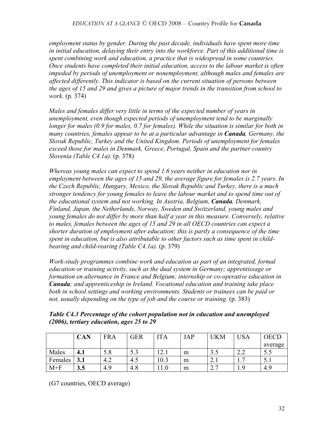*employment status by gender. During the past decade, individuals have spent more time in initial education, delaying their entry into the workforce. Part of this additional time is spent combining work and education, a practice that is widespread in some countries. Once students have completed their initial education, access to the labour market is often impeded by periods of unemployment or nonemployment, although males and females are affected differently. This indicator is based on the current situation of persons between the ages of 15 and 29 and gives a picture of major trends in the transition from school to work.* (p. 374)

*Males and females differ very little in terms of the expected number of years in unemployment, even though expected periods of unemployment tend to be marginally*  longer for males (0.9 for males, 0.7 for females). While the situation is similar for both in *many countries, females appear to be at a particular advantage in Canada, Germany, the Slovak Republic, Turkey and the United Kingdom. Periods of unemployment for females exceed those for males in Denmark, Greece, Portugal, Spain and the partner country Slovenia (Table C4.1a).* (p. 378)

*Whereas young males can expect to spend 1.6 years neither in education nor in employment between the ages of 15 and 29, the average figure for females is 2.7 years. In the Czech Republic, Hungary, Mexico, the Slovak Republic and Turkey, there is a much stronger tendency for young females to leave the labour market and to spend time out of the educational system and not working. In Austria, Belgium, Canada, Denmark, Finland, Japan, the Netherlands, Norway, Sweden and Switzerland, young males and young females do not differ by more than half a year in this measure. Conversely, relative to males, females between the ages of 15 and 29 in all OECD countries can expect a shorter duration of employment after education; this is partly a consequence of the time spent in education, but is also attributable to other factors such as time spent in childbearing and child-rearing (Table C4.1a).* (p. 379)

*Work-study programmes combine work and education as part of an integrated, formal education or training activity, such as the dual system in Germany; apprentissage or formation en alternance in France and Belgium; internship or co-operative education in Canada; and apprenticeship in Ireland. Vocational education and training take place both in school settings and working environments. Students or trainees can be paid or not, usually depending on the type of job and the course or training.* (p. 383)

*Table C4.3 Percentage of the cohort population not in education and unemployed (2006), tertiary education, ages 25 to 29* 

|         | <b>CAN</b> | <b>FRA</b> | <b>GER</b> | <b>ITA</b> | JAP | JKM                   | JSA                           | OECD    |
|---------|------------|------------|------------|------------|-----|-----------------------|-------------------------------|---------|
|         |            |            |            |            |     |                       |                               | average |
| Males   | 4.1        | 5.8        | ر . ر      | 2.1        | m   | ر. ر                  | $\cap$<br>2.Z                 | 5.5     |
| Females | 3.1        | 4.2        | 4.1        | 10.3       | m   | 4.1                   | $\overline{\phantom{0}}$<br>. | J.I     |
| $M+F$   | 3.5        | 4.9        | 4.8        | 1.0        | m   | $\overline{ }$<br>ن ک | - Q                           | 4.9     |

(G7 countries, OECD average)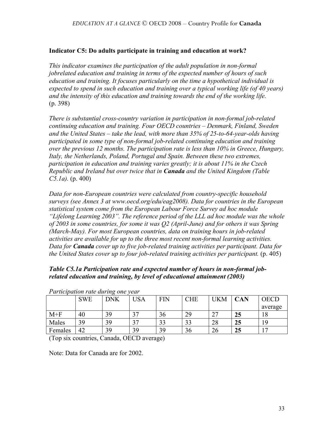#### **Indicator C5: Do adults participate in training and education at work?**

*This indicator examines the participation of the adult population in non-formal jobrelated education and training in terms of the expected number of hours of such education and training. It focuses particularly on the time a hypothetical individual is expected to spend in such education and training over a typical working life (of 40 years) and the intensity of this education and training towards the end of the working life.* (p. 398)

*There is substantial cross-country variation in participation in non-formal job-related continuing education and training. Four OECD countries – Denmark, Finland, Sweden and the United States – take the lead, with more than 35% of 25-to-64-year-olds having participated in some type of non-formal job-related continuing education and training over the previous 12 months. The participation rate is less than 10% in Greece, Hungary, Italy, the Netherlands, Poland, Portugal and Spain. Between these two extremes, participation in education and training varies greatly; it is about 11% in the Czech Republic and Ireland but over twice that in Canada and the United Kingdom (Table C5.1a).* (p. 400)

*Data for non-European countries were calculated from country-specific household surveys (see Annex 3 at www.oecd.org/edu/eag2008). Data for countries in the European statistical system come from the European Labour Force Survey ad hoc module "Lifelong Learning 2003". The reference period of the LLL ad hoc module was the whole of 2003 in some countries, for some it was Q2 (April-June) and for others it was Spring (March-May). For most European countries, data on training hours in job-related activities are available for up to the three most recent non-formal learning activities. Data for Canada cover up to five job-related training activities per participant. Data for the United States cover up to four job-related training activities per participant.* (p. 405)

#### *Table C5.1a Participation rate and expected number of hours in non-formal jobrelated education and training, by level of educational attainment (2003)*

| I a <i>departent are all the sole fear</i> |            |            |            |            |            |     |            |                |
|--------------------------------------------|------------|------------|------------|------------|------------|-----|------------|----------------|
|                                            | <b>SWE</b> | <b>DNK</b> | <b>JSA</b> | <b>FIN</b> | <b>CHE</b> | UKM | <b>CAN</b> | OECD           |
|                                            |            |            |            |            |            |     |            | average        |
| $M+F$                                      | 40         | 39         |            | 36         | 29         | 27  | 25         | 18             |
| Males                                      | 39         | 39         | 27         | 33         | 33         | 28  | 25         | 19             |
| Females                                    | 42         | 39         | 39         | 39         | 36         | 26  | 25         | $\overline{ }$ |

*Participation rate during one year* 

(Top six countries, Canada, OECD average)

Note: Data for Canada are for 2002.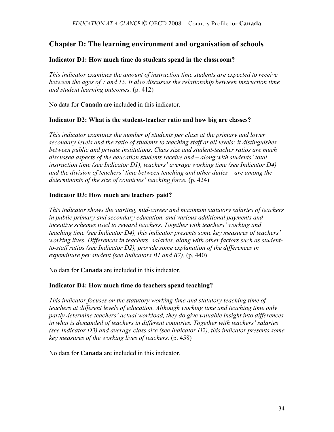# **Chapter D: The learning environment and organisation of schools**

# **Indicator D1: How much time do students spend in the classroom?**

*This indicator examines the amount of instruction time students are expected to receive between the ages of 7 and 15. It also discusses the relationship between instruction time and student learning outcomes.* (p. 412)

No data for **Canada** are included in this indicator.

# **Indicator D2: What is the student-teacher ratio and how big are classes?**

*This indicator examines the number of students per class at the primary and lower secondary levels and the ratio of students to teaching staff at all levels; it distinguishes between public and private institutions. Class size and student-teacher ratios are much discussed aspects of the education students receive and – along with students' total instruction time (see Indicator D1), teachers' average working time (see Indicator D4) and the division of teachers' time between teaching and other duties – are among the determinants of the size of countries' teaching force.* (p. 424)

# **Indicator D3: How much are teachers paid?**

*This indicator shows the starting, mid-career and maximum statutory salaries of teachers in public primary and secondary education, and various additional payments and incentive schemes used to reward teachers. Together with teachers' working and teaching time (see Indicator D4), this indicator presents some key measures of teachers' working lives. Differences in teachers' salaries, along with other factors such as studentto-staff ratios (see Indicator D2), provide some explanation of the differences in expenditure per student (see Indicators B1 and B7).* (p. 440)

No data for **Canada** are included in this indicator.

# **Indicator D4: How much time do teachers spend teaching?**

*This indicator focuses on the statutory working time and statutory teaching time of teachers at different levels of education. Although working time and teaching time only partly determine teachers' actual workload, they do give valuable insight into differences in what is demanded of teachers in different countries. Together with teachers' salaries (see Indicator D3) and average class size (see Indicator D2), this indicator presents some key measures of the working lives of teachers.* (p. 458)

No data for **Canada** are included in this indicator.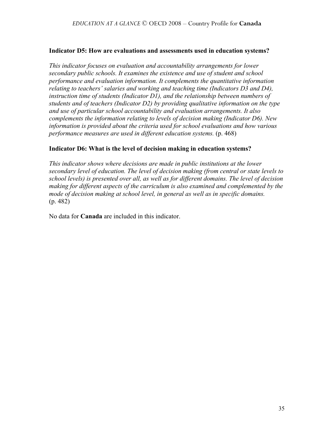#### **Indicator D5: How are evaluations and assessments used in education systems?**

*This indicator focuses on evaluation and accountability arrangements for lower secondary public schools. It examines the existence and use of student and school performance and evaluation information. It complements the quantitative information relating to teachers' salaries and working and teaching time (Indicators D3 and D4), instruction time of students (Indicator D1), and the relationship between numbers of students and of teachers (Indicator D2) by providing qualitative information on the type and use of particular school accountability and evaluation arrangements. It also complements the information relating to levels of decision making (Indicator D6). New information is provided about the criteria used for school evaluations and how various performance measures are used in different education systems.* (p. 468)

#### **Indicator D6: What is the level of decision making in education systems?**

*This indicator shows where decisions are made in public institutions at the lower secondary level of education. The level of decision making (from central or state levels to school levels) is presented over all, as well as for different domains. The level of decision making for different aspects of the curriculum is also examined and complemented by the mode of decision making at school level, in general as well as in specific domains.*  (p. 482)

No data for **Canada** are included in this indicator.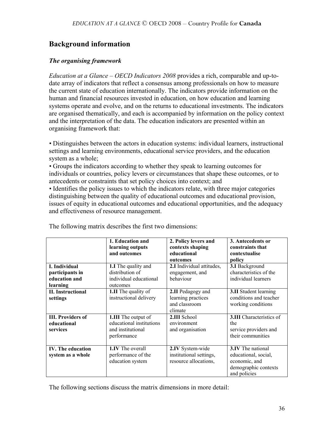# **Background information**

# *The organising framework*

*Education at a Glance – OECD Indicators 2008* provides a rich, comparable and up-todate array of indicators that reflect a consensus among professionals on how to measure the current state of education internationally. The indicators provide information on the human and financial resources invested in education, on how education and learning systems operate and evolve, and on the returns to educational investments. The indicators are organised thematically, and each is accompanied by information on the policy context and the interpretation of the data. The education indicators are presented within an organising framework that:

• Distinguishes between the actors in education systems: individual learners, instructional settings and learning environments, educational service providers, and the education system as a whole;

*•* Groups the indicators according to whether they speak to learning outcomes for individuals or countries, policy levers or circumstances that shape these outcomes, or to antecedents or constraints that set policy choices into context; and

• Identifies the policy issues to which the indicators relate, with three major categories distinguishing between the quality of educational outcomes and educational provision, issues of equity in educational outcomes and educational opportunities, and the adequacy and effectiveness of resource management.

|                                                               | 1. Education and<br>learning outputs<br>and outcomes                                       | 2. Policy levers and<br>contexts shaping<br>educational<br>outcomes  | 3. Antecedents or<br>constraints that<br>contextualise<br>policy                                          |
|---------------------------------------------------------------|--------------------------------------------------------------------------------------------|----------------------------------------------------------------------|-----------------------------------------------------------------------------------------------------------|
| I. Individual<br>participants in<br>education and<br>learning | 1.I The quality and<br>distribution of<br>individual educational<br>outcomes               | <b>2.I</b> Individual attitudes,<br>engagement, and<br>behaviour     | 3.I Background<br>characteristics of the<br>individual learners                                           |
| <b>II.</b> Instructional<br>settings                          | <b>1.II</b> The quality of<br>instructional delivery                                       | 2.II Pedagogy and<br>learning practices<br>and classroom<br>climate  | <b>3.II</b> Student learning<br>conditions and teacher<br>working conditions                              |
| <b>III.</b> Providers of<br>educational<br>services           | <b>1.III</b> The output of<br>educational institutions<br>and institutional<br>performance | 2.III School<br>environment<br>and organisation                      | 3.III Characteristics of<br>the<br>service providers and<br>their communities                             |
| <b>IV.</b> The education<br>system as a whole                 | <b>1.IV</b> The overall<br>performance of the<br>education system                          | 2.IV System-wide<br>institutional settings,<br>resource allocations, | <b>3.IV</b> The national<br>educational, social,<br>economic, and<br>demographic contexts<br>and policies |

The following matrix describes the first two dimensions:

The following sections discuss the matrix dimensions in more detail: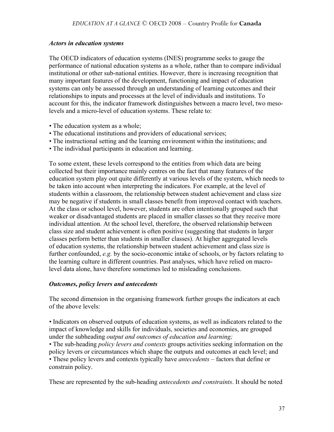#### *Actors in education systems*

The OECD indicators of education systems (INES) programme seeks to gauge the performance of national education systems as a whole, rather than to compare individual institutional or other sub-national entities. However, there is increasing recognition that many important features of the development, functioning and impact of education systems can only be assessed through an understanding of learning outcomes and their relationships to inputs and processes at the level of individuals and institutions. To account for this, the indicator framework distinguishes between a macro level, two mesolevels and a micro-level of education systems. These relate to:

- The education system as a whole;
- The educational institutions and providers of educational services;
- The instructional setting and the learning environment within the institutions; and
- The individual participants in education and learning.

To some extent, these levels correspond to the entities from which data are being collected but their importance mainly centres on the fact that many features of the education system play out quite differently at various levels of the system, which needs to be taken into account when interpreting the indicators. For example, at the level of students within a classroom, the relationship between student achievement and class size may be negative if students in small classes benefit from improved contact with teachers. At the class or school level, however, students are often intentionally grouped such that weaker or disadvantaged students are placed in smaller classes so that they receive more individual attention. At the school level, therefore, the observed relationship between class size and student achievement is often positive (suggesting that students in larger classes perform better than students in smaller classes). At higher aggregated levels of education systems, the relationship between student achievement and class size is further confounded, *e.g.* by the socio-economic intake of schools, or by factors relating to the learning culture in different countries. Past analyses, which have relied on macrolevel data alone, have therefore sometimes led to misleading conclusions.

# *Outcomes, policy levers and antecedents*

The second dimension in the organising framework further groups the indicators at each of the above levels:

*•* Indicators on observed outputs of education systems, as well as indicators related to the impact of knowledge and skills for individuals, societies and economies, are grouped under the subheading *output and outcomes of education and learning;*

*•* The sub-heading *policy levers and contexts* groups activities seeking information on the policy levers or circumstances which shape the outputs and outcomes at each level; and *•* These policy levers and contexts typically have *antecedents* – factors that define or constrain policy.

These are represented by the sub-heading *antecedents and constraints*. It should be noted